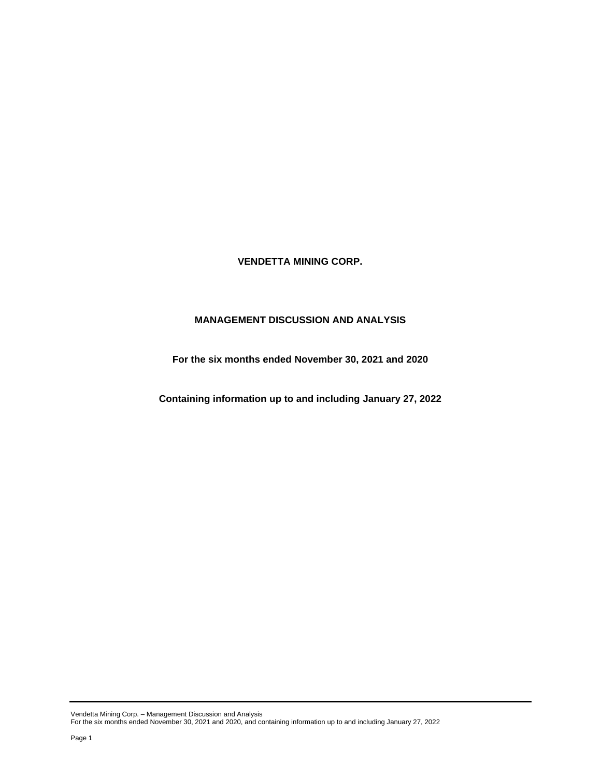**VENDETTA MINING CORP.**

# **MANAGEMENT DISCUSSION AND ANALYSIS**

**For the six months ended November 30, 2021 and 2020**

**Containing information up to and including January 27, 2022**

Vendetta Mining Corp. – Management Discussion and Analysis For the six months ended November 30, 2021 and 2020, and containing information up to and including January 27, 2022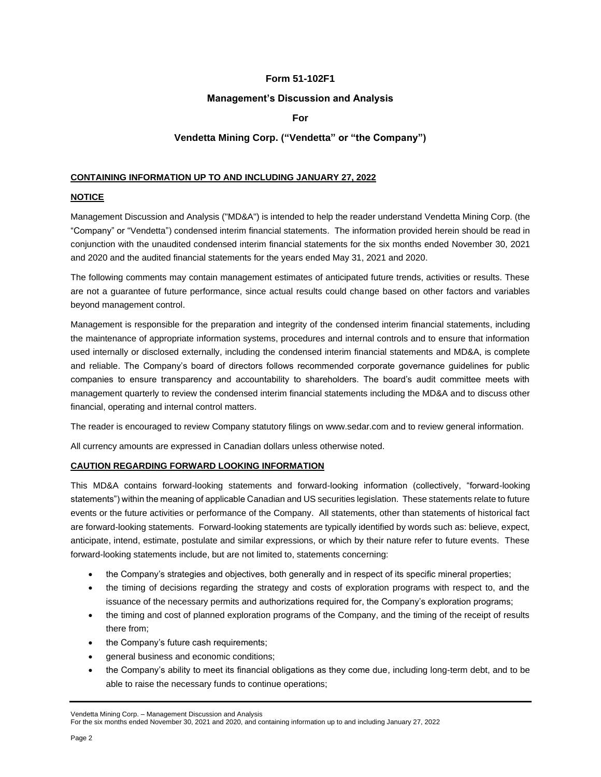# **Form 51-102F1**

### **Management's Discussion and Analysis**

## **For**

# **Vendetta Mining Corp. ("Vendetta" or "the Company")**

### **CONTAINING INFORMATION UP TO AND INCLUDING JANUARY 27, 2022**

### **NOTICE**

Management Discussion and Analysis ("MD&A") is intended to help the reader understand Vendetta Mining Corp. (the "Company" or "Vendetta") condensed interim financial statements. The information provided herein should be read in conjunction with the unaudited condensed interim financial statements for the six months ended November 30, 2021 and 2020 and the audited financial statements for the years ended May 31, 2021 and 2020.

The following comments may contain management estimates of anticipated future trends, activities or results. These are not a guarantee of future performance, since actual results could change based on other factors and variables beyond management control.

Management is responsible for the preparation and integrity of the condensed interim financial statements, including the maintenance of appropriate information systems, procedures and internal controls and to ensure that information used internally or disclosed externally, including the condensed interim financial statements and MD&A, is complete and reliable. The Company's board of directors follows recommended corporate governance guidelines for public companies to ensure transparency and accountability to shareholders. The board's audit committee meets with management quarterly to review the condensed interim financial statements including the MD&A and to discuss other financial, operating and internal control matters.

The reader is encouraged to review Company statutory filings on www.sedar.com and to review general information.

All currency amounts are expressed in Canadian dollars unless otherwise noted.

### **CAUTION REGARDING FORWARD LOOKING INFORMATION**

This MD&A contains forward-looking statements and forward-looking information (collectively, "forward-looking statements") within the meaning of applicable Canadian and US securities legislation. These statements relate to future events or the future activities or performance of the Company. All statements, other than statements of historical fact are forward-looking statements. Forward-looking statements are typically identified by words such as: believe, expect, anticipate, intend, estimate, postulate and similar expressions, or which by their nature refer to future events. These forward-looking statements include, but are not limited to, statements concerning:

- the Company's strategies and objectives, both generally and in respect of its specific mineral properties;
- the timing of decisions regarding the strategy and costs of exploration programs with respect to, and the issuance of the necessary permits and authorizations required for, the Company's exploration programs;
- the timing and cost of planned exploration programs of the Company, and the timing of the receipt of results there from;
- the Company's future cash requirements;
- general business and economic conditions;
- the Company's ability to meet its financial obligations as they come due, including long-term debt, and to be able to raise the necessary funds to continue operations;

Vendetta Mining Corp. – Management Discussion and Analysis

For the six months ended November 30, 2021 and 2020, and containing information up to and including January 27, 2022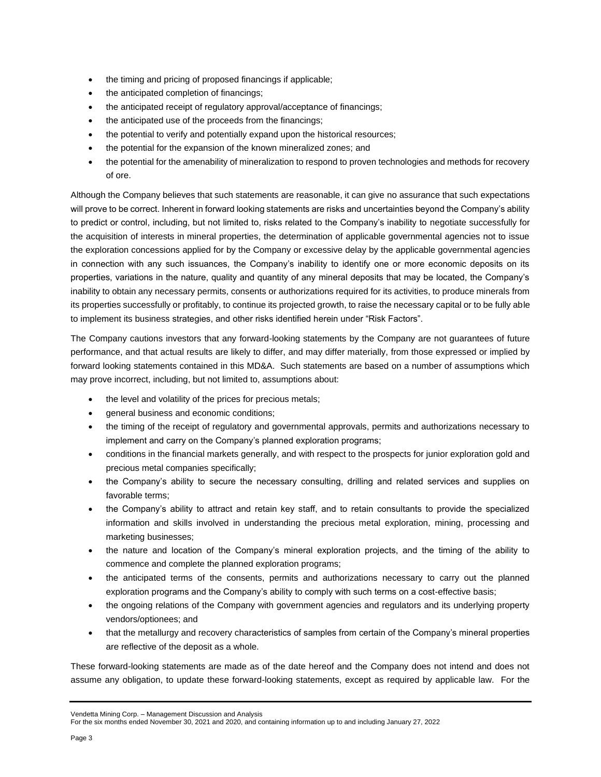- the timing and pricing of proposed financings if applicable;
- the anticipated completion of financings;
- the anticipated receipt of regulatory approval/acceptance of financings;
- the anticipated use of the proceeds from the financings;
- the potential to verify and potentially expand upon the historical resources;
- the potential for the expansion of the known mineralized zones; and
- the potential for the amenability of mineralization to respond to proven technologies and methods for recovery of ore.

Although the Company believes that such statements are reasonable, it can give no assurance that such expectations will prove to be correct. Inherent in forward looking statements are risks and uncertainties beyond the Company's ability to predict or control, including, but not limited to, risks related to the Company's inability to negotiate successfully for the acquisition of interests in mineral properties, the determination of applicable governmental agencies not to issue the exploration concessions applied for by the Company or excessive delay by the applicable governmental agencies in connection with any such issuances, the Company's inability to identify one or more economic deposits on its properties, variations in the nature, quality and quantity of any mineral deposits that may be located, the Company's inability to obtain any necessary permits, consents or authorizations required for its activities, to produce minerals from its properties successfully or profitably, to continue its projected growth, to raise the necessary capital or to be fully able to implement its business strategies, and other risks identified herein under "Risk Factors".

The Company cautions investors that any forward-looking statements by the Company are not guarantees of future performance, and that actual results are likely to differ, and may differ materially, from those expressed or implied by forward looking statements contained in this MD&A. Such statements are based on a number of assumptions which may prove incorrect, including, but not limited to, assumptions about:

- the level and volatility of the prices for precious metals;
- general business and economic conditions;
- the timing of the receipt of regulatory and governmental approvals, permits and authorizations necessary to implement and carry on the Company's planned exploration programs;
- conditions in the financial markets generally, and with respect to the prospects for junior exploration gold and precious metal companies specifically;
- the Company's ability to secure the necessary consulting, drilling and related services and supplies on favorable terms;
- the Company's ability to attract and retain key staff, and to retain consultants to provide the specialized information and skills involved in understanding the precious metal exploration, mining, processing and marketing businesses;
- the nature and location of the Company's mineral exploration projects, and the timing of the ability to commence and complete the planned exploration programs;
- the anticipated terms of the consents, permits and authorizations necessary to carry out the planned exploration programs and the Company's ability to comply with such terms on a cost-effective basis;
- the ongoing relations of the Company with government agencies and regulators and its underlying property vendors/optionees; and
- that the metallurgy and recovery characteristics of samples from certain of the Company's mineral properties are reflective of the deposit as a whole.

These forward-looking statements are made as of the date hereof and the Company does not intend and does not assume any obligation, to update these forward-looking statements, except as required by applicable law. For the

#### Vendetta Mining Corp. – Management Discussion and Analysis

```
For the six months ended November 30, 2021 and 2020, and containing information up to and including January 27, 2022
```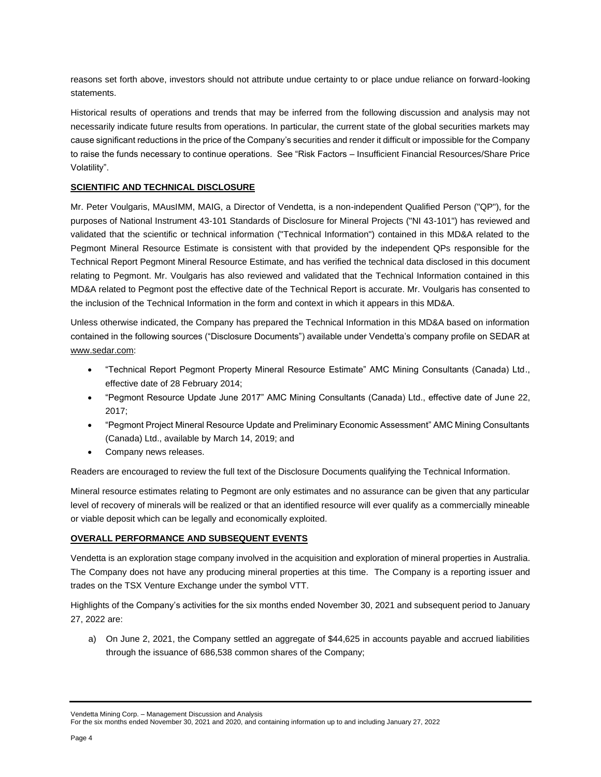reasons set forth above, investors should not attribute undue certainty to or place undue reliance on forward-looking statements.

Historical results of operations and trends that may be inferred from the following discussion and analysis may not necessarily indicate future results from operations. In particular, the current state of the global securities markets may cause significant reductions in the price of the Company's securities and render it difficult or impossible for the Company to raise the funds necessary to continue operations. See "Risk Factors – Insufficient Financial Resources/Share Price Volatility".

### **SCIENTIFIC AND TECHNICAL DISCLOSURE**

Mr. Peter Voulgaris, MAusIMM, MAIG, a Director of Vendetta, is a non-independent Qualified Person ("QP"), for the purposes of National Instrument 43-101 Standards of Disclosure for Mineral Projects ("NI 43-101") has reviewed and validated that the scientific or technical information ("Technical Information") contained in this MD&A related to the Pegmont Mineral Resource Estimate is consistent with that provided by the independent QPs responsible for the Technical Report Pegmont Mineral Resource Estimate, and has verified the technical data disclosed in this document relating to Pegmont. Mr. Voulgaris has also reviewed and validated that the Technical Information contained in this MD&A related to Pegmont post the effective date of the Technical Report is accurate. Mr. Voulgaris has consented to the inclusion of the Technical Information in the form and context in which it appears in this MD&A.

Unless otherwise indicated, the Company has prepared the Technical Information in this MD&A based on information contained in the following sources ("Disclosure Documents") available under Vendetta's company profile on SEDAR at [www.sedar.com:](http://www.sedar.com/)

- "Technical Report Pegmont Property Mineral Resource Estimate" AMC Mining Consultants (Canada) Ltd., effective date of 28 February 2014;
- "Pegmont Resource Update June 2017" AMC Mining Consultants (Canada) Ltd., effective date of June 22, 2017;
- "Pegmont Project Mineral Resource Update and Preliminary Economic Assessment" AMC Mining Consultants (Canada) Ltd., available by March 14, 2019; and
- Company news releases.

Readers are encouraged to review the full text of the Disclosure Documents qualifying the Technical Information.

Mineral resource estimates relating to Pegmont are only estimates and no assurance can be given that any particular level of recovery of minerals will be realized or that an identified resource will ever qualify as a commercially mineable or viable deposit which can be legally and economically exploited.

### **OVERALL PERFORMANCE AND SUBSEQUENT EVENTS**

Vendetta is an exploration stage company involved in the acquisition and exploration of mineral properties in Australia. The Company does not have any producing mineral properties at this time. The Company is a reporting issuer and trades on the TSX Venture Exchange under the symbol VTT.

Highlights of the Company's activities for the six months ended November 30, 2021 and subsequent period to January 27, 2022 are:

a) On June 2, 2021, the Company settled an aggregate of \$44,625 in accounts payable and accrued liabilities through the issuance of 686,538 common shares of the Company;

Vendetta Mining Corp. – Management Discussion and Analysis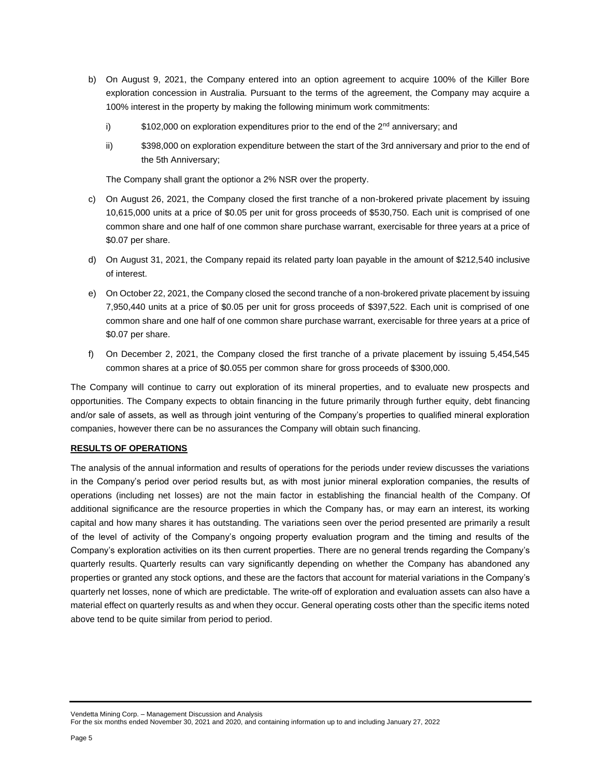- b) On August 9, 2021, the Company entered into an option agreement to acquire 100% of the Killer Bore exploration concession in Australia. Pursuant to the terms of the agreement, the Company may acquire a 100% interest in the property by making the following minimum work commitments:
	- i)  $$102,000$  on exploration expenditures prior to the end of the  $2<sup>nd</sup>$  anniversary; and
	- ii) \$398,000 on exploration expenditure between the start of the 3rd anniversary and prior to the end of the 5th Anniversary;

The Company shall grant the optionor a 2% NSR over the property.

- c) On August 26, 2021, the Company closed the first tranche of a non-brokered private placement by issuing 10,615,000 units at a price of \$0.05 per unit for gross proceeds of \$530,750. Each unit is comprised of one common share and one half of one common share purchase warrant, exercisable for three years at a price of \$0.07 per share.
- d) On August 31, 2021, the Company repaid its related party loan payable in the amount of \$212,540 inclusive of interest.
- e) On October 22, 2021, the Company closed the second tranche of a non-brokered private placement by issuing 7,950,440 units at a price of \$0.05 per unit for gross proceeds of \$397,522. Each unit is comprised of one common share and one half of one common share purchase warrant, exercisable for three years at a price of \$0.07 per share.
- f) On December 2, 2021, the Company closed the first tranche of a private placement by issuing 5,454,545 common shares at a price of \$0.055 per common share for gross proceeds of \$300,000.

The Company will continue to carry out exploration of its mineral properties, and to evaluate new prospects and opportunities. The Company expects to obtain financing in the future primarily through further equity, debt financing and/or sale of assets, as well as through joint venturing of the Company's properties to qualified mineral exploration companies, however there can be no assurances the Company will obtain such financing.

### **RESULTS OF OPERATIONS**

The analysis of the annual information and results of operations for the periods under review discusses the variations in the Company's period over period results but, as with most junior mineral exploration companies, the results of operations (including net losses) are not the main factor in establishing the financial health of the Company. Of additional significance are the resource properties in which the Company has, or may earn an interest, its working capital and how many shares it has outstanding. The variations seen over the period presented are primarily a result of the level of activity of the Company's ongoing property evaluation program and the timing and results of the Company's exploration activities on its then current properties. There are no general trends regarding the Company's quarterly results. Quarterly results can vary significantly depending on whether the Company has abandoned any properties or granted any stock options, and these are the factors that account for material variations in the Company's quarterly net losses, none of which are predictable. The write-off of exploration and evaluation assets can also have a material effect on quarterly results as and when they occur. General operating costs other than the specific items noted above tend to be quite similar from period to period.

Vendetta Mining Corp. – Management Discussion and Analysis For the six months ended November 30, 2021 and 2020, and containing information up to and including January 27, 2022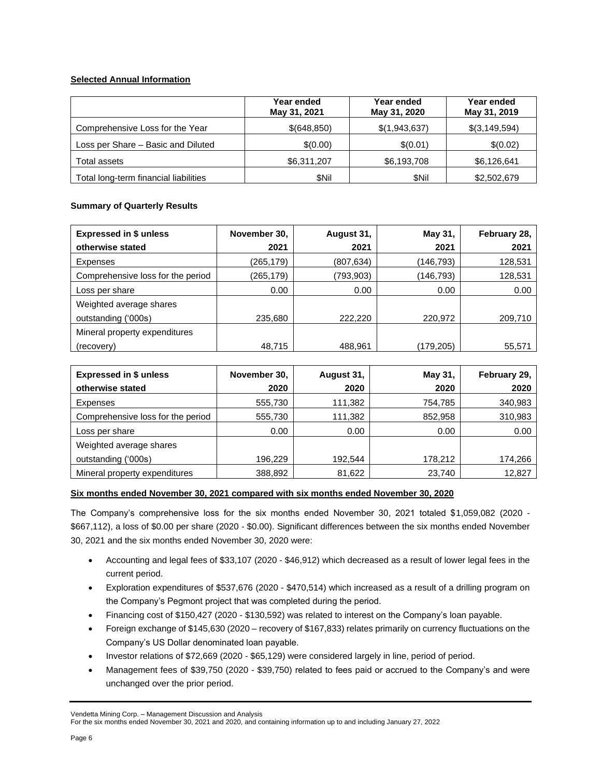# **Selected Annual Information**

|                                       | Year ended<br>May 31, 2021 | Year ended<br>May 31, 2020 | Year ended<br>May 31, 2019 |
|---------------------------------------|----------------------------|----------------------------|----------------------------|
| Comprehensive Loss for the Year       | \$(648,850)                | \$(1,943,637)              | \$(3,149,594)              |
| Loss per Share - Basic and Diluted    | \$(0.00)                   | \$(0.01)                   | \$(0.02)                   |
| Total assets                          | \$6,311,207                | \$6,193,708                | \$6,126,641                |
| Total long-term financial liabilities | <b>SNil</b>                | \$Nil                      | \$2,502,679                |

# **Summary of Quarterly Results**

| <b>Expressed in \$ unless</b>     | November 30,<br>August 31, |           | May 31,   | February 28, |  |
|-----------------------------------|----------------------------|-----------|-----------|--------------|--|
| otherwise stated                  | 2021                       | 2021      | 2021      | 2021         |  |
| Expenses                          | (265, 179)                 | (807,634) | (146,793) | 128,531      |  |
| Comprehensive loss for the period | (265,179)                  | (793,903) | (146,793) | 128,531      |  |
| Loss per share                    | 0.00                       | 0.00      | 0.00      | 0.00         |  |
| Weighted average shares           |                            |           |           |              |  |
| outstanding ('000s)               | 235,680                    | 222,220   | 220,972   | 209,710      |  |
| Mineral property expenditures     |                            |           |           |              |  |
| (recovery)                        | 48.715                     | 488,961   | (179,205) | 55,571       |  |

| <b>Expressed in \$ unless</b>     | November 30,<br>August 31, |         | May 31, | February 29, |  |
|-----------------------------------|----------------------------|---------|---------|--------------|--|
| otherwise stated                  | 2020                       | 2020    | 2020    | 2020         |  |
| Expenses                          | 555,730                    | 111,382 | 754,785 | 340,983      |  |
| Comprehensive loss for the period | 555,730                    | 111,382 | 852,958 | 310,983      |  |
| Loss per share                    | 0.00                       | 0.00    | 0.00    | 0.00         |  |
| Weighted average shares           |                            |         |         |              |  |
| outstanding ('000s)               | 196,229                    | 192,544 | 178,212 | 174,266      |  |
| Mineral property expenditures     | 388,892                    | 81,622  | 23,740  | 12,827       |  |

## **Six months ended November 30, 2021 compared with six months ended November 30, 2020**

The Company's comprehensive loss for the six months ended November 30, 2021 totaled \$1,059,082 (2020 - \$667,112), a loss of \$0.00 per share (2020 - \$0.00). Significant differences between the six months ended November 30, 2021 and the six months ended November 30, 2020 were:

- Accounting and legal fees of \$33,107 (2020 \$46,912) which decreased as a result of lower legal fees in the current period.
- Exploration expenditures of \$537,676 (2020 \$470,514) which increased as a result of a drilling program on the Company's Pegmont project that was completed during the period.
- Financing cost of \$150,427 (2020 \$130,592) was related to interest on the Company's loan payable.
- Foreign exchange of \$145,630 (2020 recovery of \$167,833) relates primarily on currency fluctuations on the Company's US Dollar denominated loan payable.
- Investor relations of \$72,669 (2020 \$65,129) were considered largely in line, period of period.
- Management fees of \$39,750 (2020 \$39,750) related to fees paid or accrued to the Company's and were unchanged over the prior period.

Vendetta Mining Corp. – Management Discussion and Analysis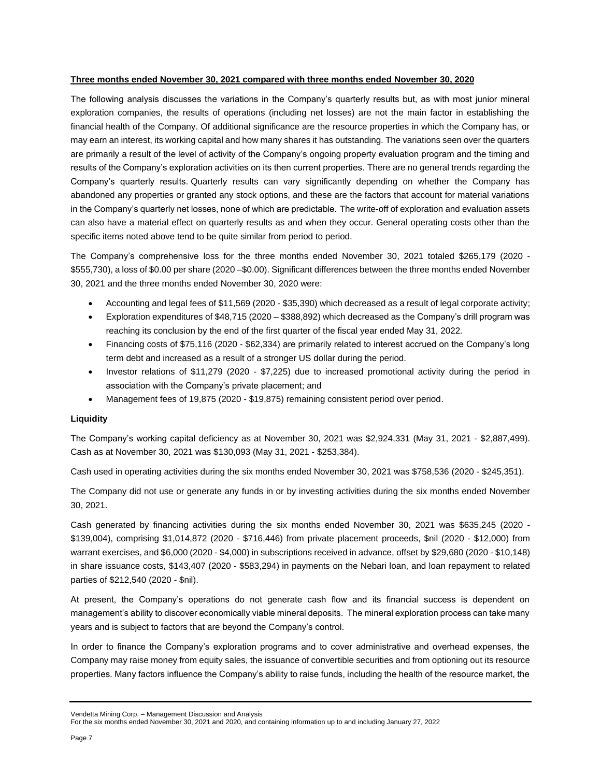### **Three months ended November 30, 2021 compared with three months ended November 30, 2020**

The following analysis discusses the variations in the Company's quarterly results but, as with most junior mineral exploration companies, the results of operations (including net losses) are not the main factor in establishing the financial health of the Company. Of additional significance are the resource properties in which the Company has, or may earn an interest, its working capital and how many shares it has outstanding. The variations seen over the quarters are primarily a result of the level of activity of the Company's ongoing property evaluation program and the timing and results of the Company's exploration activities on its then current properties. There are no general trends regarding the Company's quarterly results. Quarterly results can vary significantly depending on whether the Company has abandoned any properties or granted any stock options, and these are the factors that account for material variations in the Company's quarterly net losses, none of which are predictable. The write-off of exploration and evaluation assets can also have a material effect on quarterly results as and when they occur. General operating costs other than the specific items noted above tend to be quite similar from period to period.

The Company's comprehensive loss for the three months ended November 30, 2021 totaled \$265,179 (2020 - \$555,730), a loss of \$0.00 per share (2020 –\$0.00). Significant differences between the three months ended November 30, 2021 and the three months ended November 30, 2020 were:

- Accounting and legal fees of \$11,569 (2020 \$35,390) which decreased as a result of legal corporate activity;
- Exploration expenditures of \$48,715 (2020 \$388,892) which decreased as the Company's drill program was reaching its conclusion by the end of the first quarter of the fiscal year ended May 31, 2022.
- Financing costs of \$75,116 (2020 \$62,334) are primarily related to interest accrued on the Company's long term debt and increased as a result of a stronger US dollar during the period.
- Investor relations of \$11,279 (2020 \$7,225) due to increased promotional activity during the period in association with the Company's private placement; and
- Management fees of 19,875 (2020 \$19,875) remaining consistent period over period.

## **Liquidity**

The Company's working capital deficiency as at November 30, 2021 was \$2,924,331 (May 31, 2021 - \$2,887,499). Cash as at November 30, 2021 was \$130,093 (May 31, 2021 - \$253,384).

Cash used in operating activities during the six months ended November 30, 2021 was \$758,536 (2020 - \$245,351).

The Company did not use or generate any funds in or by investing activities during the six months ended November 30, 2021.

Cash generated by financing activities during the six months ended November 30, 2021 was \$635,245 (2020 - \$139,004), comprising \$1,014,872 (2020 - \$716,446) from private placement proceeds, \$nil (2020 - \$12,000) from warrant exercises, and \$6,000 (2020 - \$4,000) in subscriptions received in advance, offset by \$29,680 (2020 - \$10,148) in share issuance costs, \$143,407 (2020 - \$583,294) in payments on the Nebari loan, and loan repayment to related parties of \$212,540 (2020 - \$nil).

At present, the Company's operations do not generate cash flow and its financial success is dependent on management's ability to discover economically viable mineral deposits. The mineral exploration process can take many years and is subject to factors that are beyond the Company's control.

In order to finance the Company's exploration programs and to cover administrative and overhead expenses, the Company may raise money from equity sales, the issuance of convertible securities and from optioning out its resource properties. Many factors influence the Company's ability to raise funds, including the health of the resource market, the

Vendetta Mining Corp. – Management Discussion and Analysis

For the six months ended November 30, 2021 and 2020, and containing information up to and including January 27, 2022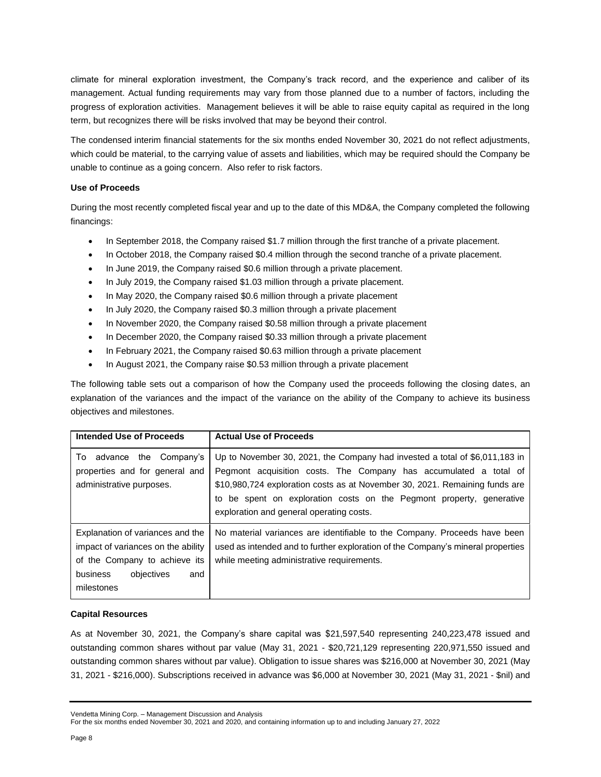climate for mineral exploration investment, the Company's track record, and the experience and caliber of its management. Actual funding requirements may vary from those planned due to a number of factors, including the progress of exploration activities. Management believes it will be able to raise equity capital as required in the long term, but recognizes there will be risks involved that may be beyond their control.

The condensed interim financial statements for the six months ended November 30, 2021 do not reflect adjustments, which could be material, to the carrying value of assets and liabilities, which may be required should the Company be unable to continue as a going concern. Also refer to risk factors.

### **Use of Proceeds**

During the most recently completed fiscal year and up to the date of this MD&A, the Company completed the following financings:

- In September 2018, the Company raised \$1.7 million through the first tranche of a private placement.
- In October 2018, the Company raised \$0.4 million through the second tranche of a private placement.
- In June 2019, the Company raised \$0.6 million through a private placement.
- In July 2019, the Company raised \$1.03 million through a private placement.
- In May 2020, the Company raised \$0.6 million through a private placement
- In July 2020, the Company raised \$0.3 million through a private placement
- In November 2020, the Company raised \$0.58 million through a private placement
- In December 2020, the Company raised \$0.33 million through a private placement
- In February 2021, the Company raised \$0.63 million through a private placement
- In August 2021, the Company raise \$0.53 million through a private placement

The following table sets out a comparison of how the Company used the proceeds following the closing dates, an explanation of the variances and the impact of the variance on the ability of the Company to achieve its business objectives and milestones.

| Intended Use of Proceeds                                                                                                                               | <b>Actual Use of Proceeds</b>                                                                                                                                                                                                                                                                                                                          |
|--------------------------------------------------------------------------------------------------------------------------------------------------------|--------------------------------------------------------------------------------------------------------------------------------------------------------------------------------------------------------------------------------------------------------------------------------------------------------------------------------------------------------|
| advance the Company's<br>To<br>properties and for general and<br>administrative purposes.                                                              | Up to November 30, 2021, the Company had invested a total of \$6,011,183 in<br>Pegmont acquisition costs. The Company has accumulated a total of<br>\$10,980,724 exploration costs as at November 30, 2021. Remaining funds are<br>be spent on exploration costs on the Pegmont property, generative<br>to<br>exploration and general operating costs. |
| Explanation of variances and the<br>impact of variances on the ability<br>of the Company to achieve its<br>business<br>objectives<br>and<br>milestones | No material variances are identifiable to the Company. Proceeds have been<br>used as intended and to further exploration of the Company's mineral properties<br>while meeting administrative requirements.                                                                                                                                             |

### **Capital Resources**

As at November 30, 2021, the Company's share capital was \$21,597,540 representing 240,223,478 issued and outstanding common shares without par value (May 31, 2021 - \$20,721,129 representing 220,971,550 issued and outstanding common shares without par value). Obligation to issue shares was \$216,000 at November 30, 2021 (May 31, 2021 - \$216,000). Subscriptions received in advance was \$6,000 at November 30, 2021 (May 31, 2021 - \$nil) and

Vendetta Mining Corp. – Management Discussion and Analysis

For the six months ended November 30, 2021 and 2020, and containing information up to and including January 27, 2022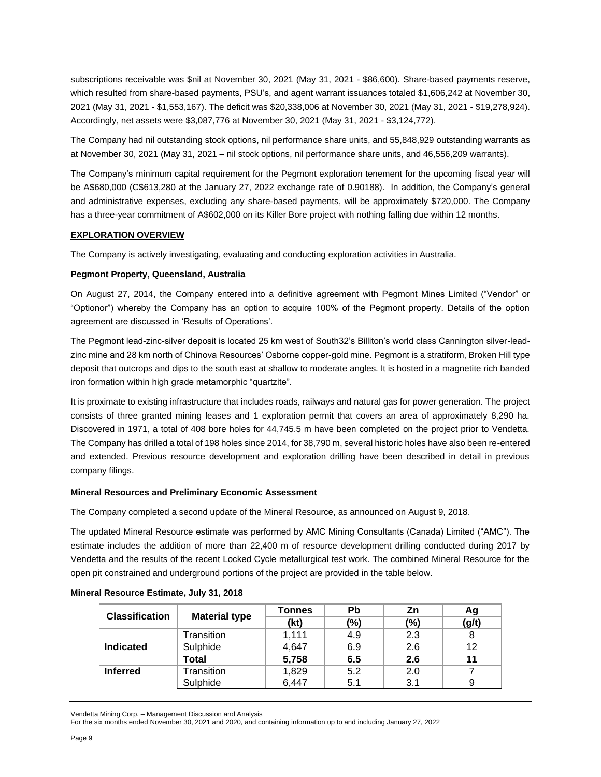subscriptions receivable was \$nil at November 30, 2021 (May 31, 2021 - \$86,600). Share-based payments reserve, which resulted from share-based payments, PSU's, and agent warrant issuances totaled \$1,606,242 at November 30, 2021 (May 31, 2021 - \$1,553,167). The deficit was \$20,338,006 at November 30, 2021 (May 31, 2021 - \$19,278,924). Accordingly, net assets were \$3,087,776 at November 30, 2021 (May 31, 2021 - \$3,124,772).

The Company had nil outstanding stock options, nil performance share units, and 55,848,929 outstanding warrants as at November 30, 2021 (May 31, 2021 – nil stock options, nil performance share units, and 46,556,209 warrants).

The Company's minimum capital requirement for the Pegmont exploration tenement for the upcoming fiscal year will be A\$680,000 (C\$613,280 at the January 27, 2022 exchange rate of 0.90188). In addition, the Company's general and administrative expenses, excluding any share-based payments, will be approximately \$720,000. The Company has a three-year commitment of A\$602,000 on its Killer Bore project with nothing falling due within 12 months.

## **EXPLORATION OVERVIEW**

The Company is actively investigating, evaluating and conducting exploration activities in Australia.

### **Pegmont Property, Queensland, Australia**

On August 27, 2014, the Company entered into a definitive agreement with Pegmont Mines Limited ("Vendor" or "Optionor") whereby the Company has an option to acquire 100% of the Pegmont property. Details of the option agreement are discussed in 'Results of Operations'.

The Pegmont lead-zinc-silver deposit is located 25 km west of South32's Billiton's world class Cannington silver-leadzinc mine and 28 km north of Chinova Resources' Osborne copper-gold mine. Pegmont is a stratiform, Broken Hill type deposit that outcrops and dips to the south east at shallow to moderate angles. It is hosted in a magnetite rich banded iron formation within high grade metamorphic "quartzite".

It is proximate to existing infrastructure that includes roads, railways and natural gas for power generation. The project consists of three granted mining leases and 1 exploration permit that covers an area of approximately 8,290 ha. Discovered in 1971, a total of 408 bore holes for 44,745.5 m have been completed on the project prior to Vendetta. The Company has drilled a total of 198 holes since 2014, for 38,790 m, several historic holes have also been re-entered and extended. Previous resource development and exploration drilling have been described in detail in previous company filings.

### **Mineral Resources and Preliminary Economic Assessment**

The Company completed a second update of the Mineral Resource, as announced on August 9, 2018.

The updated Mineral Resource estimate was performed by AMC Mining Consultants (Canada) Limited ("AMC"). The estimate includes the addition of more than 22,400 m of resource development drilling conducted during 2017 by Vendetta and the results of the recent Locked Cycle metallurgical test work. The combined Mineral Resource for the open pit constrained and underground portions of the project are provided in the table below.

| <b>Classification</b> |                      | Tonnes | Pb             | Zn  | Ag    |
|-----------------------|----------------------|--------|----------------|-----|-------|
|                       | <b>Material type</b> | (kt)   | $\frac{10}{6}$ | (%) | (g/t) |
|                       | Transition           | 1,111  | 4.9            | 2.3 |       |
| <b>Indicated</b>      | Sulphide             | 4,647  | 6.9            | 2.6 | 12    |
|                       | Total                | 5,758  | 6.5            | 2.6 |       |
| <b>Inferred</b>       | Transition           | 1,829  | 5.2            | 2.0 |       |
|                       | Sulphide             | 6.447  | 5.1            | 3.1 |       |

#### **Mineral Resource Estimate, July 31, 2018**

Vendetta Mining Corp. – Management Discussion and Analysis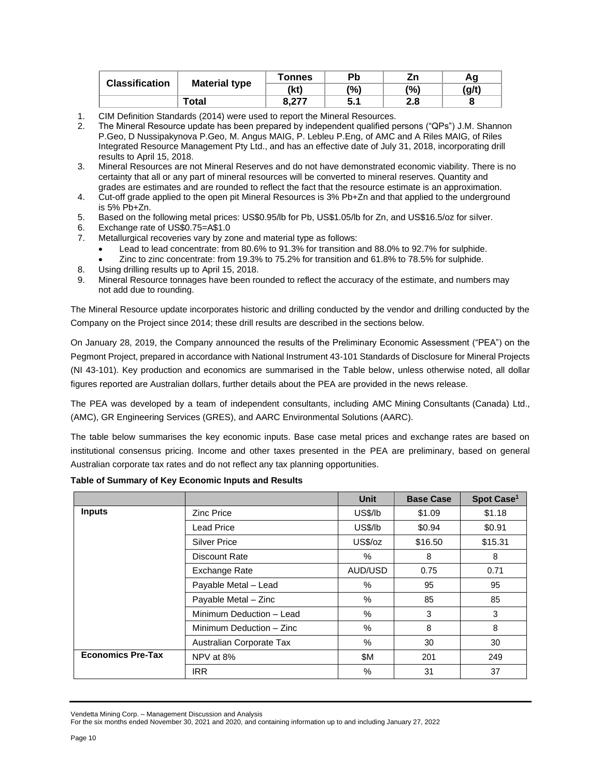| <b>Classification</b> |                      | Tonnes                | Рb  | Ζn  | Αg    |
|-----------------------|----------------------|-----------------------|-----|-----|-------|
|                       | <b>Material type</b> | (kt)                  | (%) | (%) | (g/t) |
|                       | Total                | 0.277<br>$O, Z_{1}$ . | J.I | 2.8 |       |

- 1. CIM Definition Standards (2014) were used to report the Mineral Resources.
- 2. The Mineral Resource update has been prepared by independent qualified persons ("QPs") J.M. Shannon P.Geo, D Nussipakynova P.Geo, M. Angus MAIG, P. Lebleu P.Eng, of AMC and A Riles MAIG, of Riles Integrated Resource Management Pty Ltd., and has an effective date of July 31, 2018, incorporating drill results to April 15, 2018.
- 3. Mineral Resources are not Mineral Reserves and do not have demonstrated economic viability. There is no certainty that all or any part of mineral resources will be converted to mineral reserves. Quantity and grades are estimates and are rounded to reflect the fact that the resource estimate is an approximation.
- 4. Cut-off grade applied to the open pit Mineral Resources is 3% Pb+Zn and that applied to the underground is 5% Pb+Zn.
- 5. Based on the following metal prices: US\$0.95/lb for Pb, US\$1.05/lb for Zn, and US\$16.5/oz for silver.
- 6. Exchange rate of US\$0.75=A\$1.0
- 7. Metallurgical recoveries vary by zone and material type as follows:
	- Lead to lead concentrate: from 80.6% to 91.3% for transition and 88.0% to 92.7% for sulphide. • Zinc to zinc concentrate: from 19.3% to 75.2% for transition and 61.8% to 78.5% for sulphide.
- 8. Using drilling results up to April 15, 2018.
- 9. Mineral Resource tonnages have been rounded to reflect the accuracy of the estimate, and numbers may not add due to rounding.

The Mineral Resource update incorporates historic and drilling conducted by the vendor and drilling conducted by the Company on the Project since 2014; these drill results are described in the sections below.

On January 28, 2019, the Company announced the results of the Preliminary Economic Assessment ("PEA") on the Pegmont Project, prepared in accordance with National Instrument 43-101 Standards of Disclosure for Mineral Projects (NI 43-101). Key production and economics are summarised in the Table below, unless otherwise noted, all dollar figures reported are Australian dollars, further details about the PEA are provided in the news release.

The PEA was developed by a team of independent consultants, including AMC Mining Consultants (Canada) Ltd., (AMC), GR Engineering Services (GRES), and AARC Environmental Solutions (AARC).

The table below summarises the key economic inputs. Base case metal prices and exchange rates are based on institutional consensus pricing. Income and other taxes presented in the PEA are preliminary, based on general Australian corporate tax rates and do not reflect any tax planning opportunities.

|                          |                          | <b>Unit</b> | <b>Base Case</b> | Spot Case <sup>1</sup> |
|--------------------------|--------------------------|-------------|------------------|------------------------|
| <b>Inputs</b>            | <b>Zinc Price</b>        | US\$/lb     | \$1.09           | \$1.18                 |
|                          | Lead Price               | US\$/lb     | \$0.94           | \$0.91                 |
|                          | <b>Silver Price</b>      | US\$/oz     | \$16.50          | \$15.31                |
|                          | Discount Rate            | $\%$        | 8                | 8                      |
|                          | Exchange Rate            | AUD/USD     | 0.75             | 0.71                   |
|                          | Payable Metal - Lead     | %           | 95               | 95                     |
|                          | Payable Metal - Zinc     | %           | 85               | 85                     |
|                          | Minimum Deduction - Lead | %           | 3                | 3                      |
|                          | Minimum Deduction - Zinc | %           | 8                | 8                      |
|                          | Australian Corporate Tax | %           | 30               | 30                     |
| <b>Economics Pre-Tax</b> | NPV at 8%                | \$Μ         | 201              | 249                    |
|                          | <b>IRR</b>               | %           | 31               | 37                     |

## **Table of Summary of Key Economic Inputs and Results**

Vendetta Mining Corp. – Management Discussion and Analysis

For the six months ended November 30, 2021 and 2020, and containing information up to and including January 27, 2022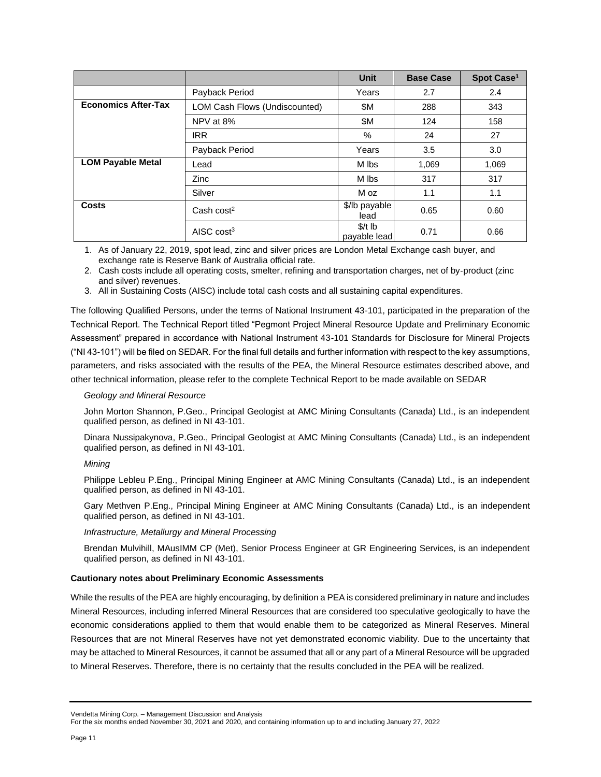|                            |                               | <b>Unit</b>              | <b>Base Case</b> | Spot Case <sup>1</sup> |
|----------------------------|-------------------------------|--------------------------|------------------|------------------------|
|                            | Payback Period                | Years                    | 2.7              | 2.4                    |
| <b>Economics After-Tax</b> | LOM Cash Flows (Undiscounted) | \$Μ                      | 288              | 343                    |
|                            | NPV at 8%                     | \$Μ                      | 124              | 158                    |
|                            | <b>IRR</b>                    | %                        | 24               | 27                     |
|                            | Payback Period                | Years                    | 3.5              | 3.0                    |
| <b>LOM Payable Metal</b>   | Lead                          | M Ibs                    | 1,069            | 1,069                  |
|                            | <b>Zinc</b>                   | M Ibs                    | 317              | 317                    |
|                            | Silver                        | M oz                     | 1.1              | 1.1                    |
| Costs                      | Cash $cost2$                  | \$/lb payable<br>lead    | 0.65             | 0.60                   |
|                            | AISC $cost3$                  | $$/t$ lb<br>payable lead | 0.71             | 0.66                   |

1. As of January 22, 2019, spot lead, zinc and silver prices are London Metal Exchange cash buyer, and exchange rate is Reserve Bank of Australia official rate.

2. Cash costs include all operating costs, smelter, refining and transportation charges, net of by‐product (zinc and silver) revenues.

3. All in Sustaining Costs (AISC) include total cash costs and all sustaining capital expenditures.

The following Qualified Persons, under the terms of National Instrument 43-101, participated in the preparation of the Technical Report. The Technical Report titled "Pegmont Project Mineral Resource Update and Preliminary Economic Assessment" prepared in accordance with National Instrument 43-101 Standards for Disclosure for Mineral Projects ("NI 43-101") will be filed on SEDAR. For the final full details and further information with respect to the key assumptions, parameters, and risks associated with the results of the PEA, the Mineral Resource estimates described above, and other technical information, please refer to the complete Technical Report to be made available on SEDAR

#### *Geology and Mineral Resource*

John Morton Shannon, P.Geo., Principal Geologist at AMC Mining Consultants (Canada) Ltd., is an independent qualified person, as defined in NI 43-101.

Dinara Nussipakynova, P.Geo., Principal Geologist at AMC Mining Consultants (Canada) Ltd., is an independent qualified person, as defined in NI 43-101.

#### *Mining*

Philippe Lebleu P.Eng., Principal Mining Engineer at AMC Mining Consultants (Canada) Ltd., is an independent qualified person, as defined in NI 43-101.

Gary Methven P.Eng., Principal Mining Engineer at AMC Mining Consultants (Canada) Ltd., is an independent qualified person, as defined in NI 43-101.

#### *Infrastructure, Metallurgy and Mineral Processing*

Brendan Mulvihill, MAusIMM CP (Met), Senior Process Engineer at GR Engineering Services, is an independent qualified person, as defined in NI 43-101.

#### **Cautionary notes about Preliminary Economic Assessments**

While the results of the PEA are highly encouraging, by definition a PEA is considered preliminary in nature and includes Mineral Resources, including inferred Mineral Resources that are considered too speculative geologically to have the economic considerations applied to them that would enable them to be categorized as Mineral Reserves. Mineral Resources that are not Mineral Reserves have not yet demonstrated economic viability. Due to the uncertainty that may be attached to Mineral Resources, it cannot be assumed that all or any part of a Mineral Resource will be upgraded to Mineral Reserves. Therefore, there is no certainty that the results concluded in the PEA will be realized.

Vendetta Mining Corp. – Management Discussion and Analysis

For the six months ended November 30, 2021 and 2020, and containing information up to and including January 27, 2022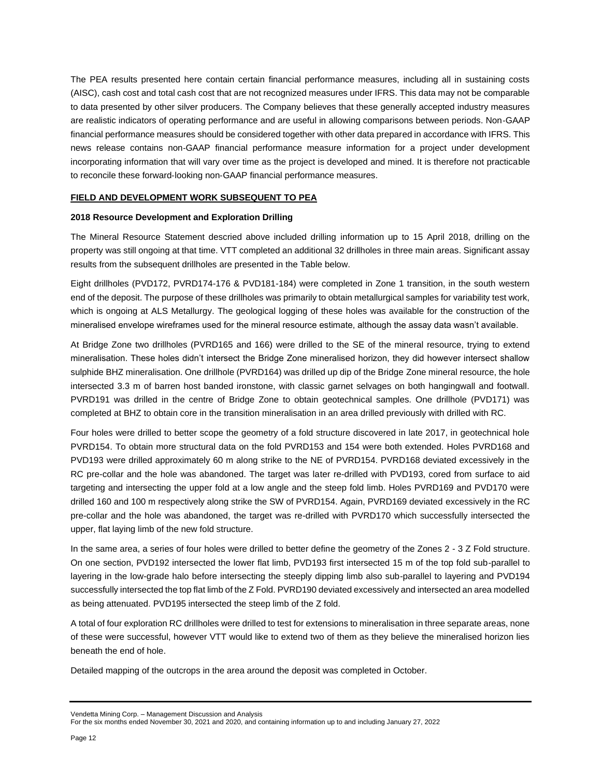The PEA results presented here contain certain financial performance measures, including all in sustaining costs (AISC), cash cost and total cash cost that are not recognized measures under IFRS. This data may not be comparable to data presented by other silver producers. The Company believes that these generally accepted industry measures are realistic indicators of operating performance and are useful in allowing comparisons between periods. Non‐GAAP financial performance measures should be considered together with other data prepared in accordance with IFRS. This news release contains non‐GAAP financial performance measure information for a project under development incorporating information that will vary over time as the project is developed and mined. It is therefore not practicable to reconcile these forward‐looking non‐GAAP financial performance measures.

### **FIELD AND DEVELOPMENT WORK SUBSEQUENT TO PEA**

#### **2018 Resource Development and Exploration Drilling**

The Mineral Resource Statement descried above included drilling information up to 15 April 2018, drilling on the property was still ongoing at that time. VTT completed an additional 32 drillholes in three main areas. Significant assay results from the subsequent drillholes are presented in the Table below.

Eight drillholes (PVD172, PVRD174-176 & PVD181-184) were completed in Zone 1 transition, in the south western end of the deposit. The purpose of these drillholes was primarily to obtain metallurgical samples for variability test work, which is ongoing at ALS Metallurgy. The geological logging of these holes was available for the construction of the mineralised envelope wireframes used for the mineral resource estimate, although the assay data wasn't available.

At Bridge Zone two drillholes (PVRD165 and 166) were drilled to the SE of the mineral resource, trying to extend mineralisation. These holes didn't intersect the Bridge Zone mineralised horizon, they did however intersect shallow sulphide BHZ mineralisation. One drillhole (PVRD164) was drilled up dip of the Bridge Zone mineral resource, the hole intersected 3.3 m of barren host banded ironstone, with classic garnet selvages on both hangingwall and footwall. PVRD191 was drilled in the centre of Bridge Zone to obtain geotechnical samples. One drillhole (PVD171) was completed at BHZ to obtain core in the transition mineralisation in an area drilled previously with drilled with RC.

Four holes were drilled to better scope the geometry of a fold structure discovered in late 2017, in geotechnical hole PVRD154. To obtain more structural data on the fold PVRD153 and 154 were both extended. Holes PVRD168 and PVD193 were drilled approximately 60 m along strike to the NE of PVRD154. PVRD168 deviated excessively in the RC pre-collar and the hole was abandoned. The target was later re-drilled with PVD193, cored from surface to aid targeting and intersecting the upper fold at a low angle and the steep fold limb. Holes PVRD169 and PVD170 were drilled 160 and 100 m respectively along strike the SW of PVRD154. Again, PVRD169 deviated excessively in the RC pre-collar and the hole was abandoned, the target was re-drilled with PVRD170 which successfully intersected the upper, flat laying limb of the new fold structure.

In the same area, a series of four holes were drilled to better define the geometry of the Zones 2 - 3 Z Fold structure. On one section, PVD192 intersected the lower flat limb, PVD193 first intersected 15 m of the top fold sub-parallel to layering in the low-grade halo before intersecting the steeply dipping limb also sub-parallel to layering and PVD194 successfully intersected the top flat limb of the Z Fold. PVRD190 deviated excessively and intersected an area modelled as being attenuated. PVD195 intersected the steep limb of the Z fold.

A total of four exploration RC drillholes were drilled to test for extensions to mineralisation in three separate areas, none of these were successful, however VTT would like to extend two of them as they believe the mineralised horizon lies beneath the end of hole.

Detailed mapping of the outcrops in the area around the deposit was completed in October.

Vendetta Mining Corp. – Management Discussion and Analysis

For the six months ended November 30, 2021 and 2020, and containing information up to and including January 27, 2022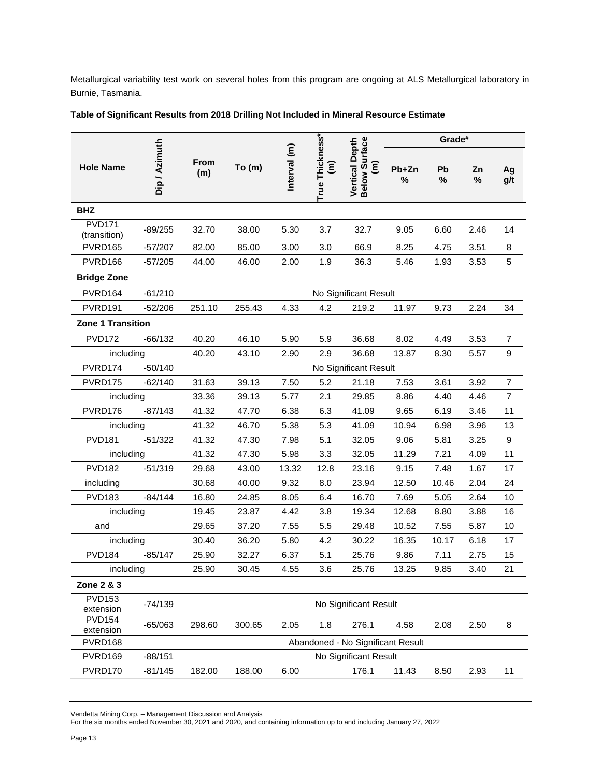Metallurgical variability test work on several holes from this program are ongoing at ALS Metallurgical laboratory in Burnie, Tasmania.

|                               |               |             |        |              |                      |                                        |              | Grade#  |         |                |
|-------------------------------|---------------|-------------|--------|--------------|----------------------|----------------------------------------|--------------|---------|---------|----------------|
| <b>Hole Name</b>              | Dip / Azimuth | From<br>(m) | To (m) | Interval (m) | True Thickness*<br>έ | Below Surface<br><b>Vertical Depth</b> | $Pb+Zn$<br>% | Pb<br>% | Zn<br>% | Ag<br>g/t      |
| <b>BHZ</b>                    |               |             |        |              |                      |                                        |              |         |         |                |
| <b>PVD171</b><br>(transition) | $-89/255$     | 32.70       | 38.00  | 5.30         | 3.7                  | 32.7                                   | 9.05         | 6.60    | 2.46    | 14             |
| PVRD165                       | $-57/207$     | 82.00       | 85.00  | 3.00         | 3.0                  | 66.9                                   | 8.25         | 4.75    | 3.51    | 8              |
| PVRD166                       | $-57/205$     | 44.00       | 46.00  | 2.00         | 1.9                  | 36.3                                   | 5.46         | 1.93    | 3.53    | 5              |
| <b>Bridge Zone</b>            |               |             |        |              |                      |                                        |              |         |         |                |
| PVRD164                       | $-61/210$     |             |        |              |                      | No Significant Result                  |              |         |         |                |
| PVRD <sub>191</sub>           | $-52/206$     | 251.10      | 255.43 | 4.33         | 4.2                  | 219.2                                  | 11.97        | 9.73    | 2.24    | 34             |
| <b>Zone 1 Transition</b>      |               |             |        |              |                      |                                        |              |         |         |                |
| <b>PVD172</b>                 | $-66/132$     | 40.20       | 46.10  | 5.90         | 5.9                  | 36.68                                  | 8.02         | 4.49    | 3.53    | $\overline{7}$ |
| including                     |               | 40.20       | 43.10  | 2.90         | 2.9                  | 36.68                                  | 13.87        | 8.30    | 5.57    | 9              |
| PVRD174                       | $-50/140$     |             |        |              |                      | No Significant Result                  |              |         |         |                |
| PVRD175                       | $-62/140$     | 31.63       | 39.13  | 7.50         | 5.2                  | 21.18                                  | 7.53         | 3.61    | 3.92    | $\overline{7}$ |
| including                     |               | 33.36       | 39.13  | 5.77         | 2.1                  | 29.85                                  | 8.86         | 4.40    | 4.46    | $\overline{7}$ |
| PVRD176                       | $-87/143$     | 41.32       | 47.70  | 6.38         | 6.3                  | 41.09                                  | 9.65         | 6.19    | 3.46    | 11             |
| including                     |               | 41.32       | 46.70  | 5.38         | 5.3                  | 41.09                                  | 10.94        | 6.98    | 3.96    | 13             |
| <b>PVD181</b>                 | $-51/322$     | 41.32       | 47.30  | 7.98         | 5.1                  | 32.05                                  | 9.06         | 5.81    | 3.25    | 9              |
| including                     |               | 41.32       | 47.30  | 5.98         | 3.3                  | 32.05                                  | 11.29        | 7.21    | 4.09    | 11             |
| <b>PVD182</b>                 | $-51/319$     | 29.68       | 43.00  | 13.32        | 12.8                 | 23.16                                  | 9.15         | 7.48    | 1.67    | 17             |
| including                     |               | 30.68       | 40.00  | 9.32         | 8.0                  | 23.94                                  | 12.50        | 10.46   | 2.04    | 24             |
| <b>PVD183</b>                 | $-84/144$     | 16.80       | 24.85  | 8.05         | 6.4                  | 16.70                                  | 7.69         | 5.05    | 2.64    | 10             |
| including                     |               | 19.45       | 23.87  | 4.42         | 3.8                  | 19.34                                  | 12.68        | 8.80    | 3.88    | 16             |
| and                           |               | 29.65       | 37.20  | 7.55         | 5.5                  | 29.48                                  | 10.52        | 7.55    | 5.87    | 10             |
| including                     |               | 30.40       | 36.20  | 5.80         | 4.2                  | 30.22                                  | 16.35        | 10.17   | 6.18    | 17             |
| <b>PVD184</b>                 | $-85/147$     | 25.90       | 32.27  | 6.37         | 5.1                  | 25.76                                  | 9.86         | 7.11    | 2.75    | 15             |
| including                     |               | 25.90       | 30.45  | 4.55         | 3.6                  | 25.76                                  | 13.25        | 9.85    | 3.40    | 21             |
| Zone 2 & 3                    |               |             |        |              |                      |                                        |              |         |         |                |
| <b>PVD153</b><br>extension    | $-74/139$     |             |        |              |                      | No Significant Result                  |              |         |         |                |
| <b>PVD154</b><br>extension    | $-65/063$     | 298.60      | 300.65 | 2.05         | 1.8                  | 276.1                                  | 4.58         | 2.08    | 2.50    | 8              |
| PVRD168                       |               |             |        |              |                      | Abandoned - No Significant Result      |              |         |         |                |
| PVRD169                       | $-88/151$     |             |        |              |                      | No Significant Result                  |              |         |         |                |
| PVRD170                       | $-81/145$     | 182.00      | 188.00 | 6.00         |                      | 176.1                                  | 11.43        | 8.50    | 2.93    | 11             |

Vendetta Mining Corp. – Management Discussion and Analysis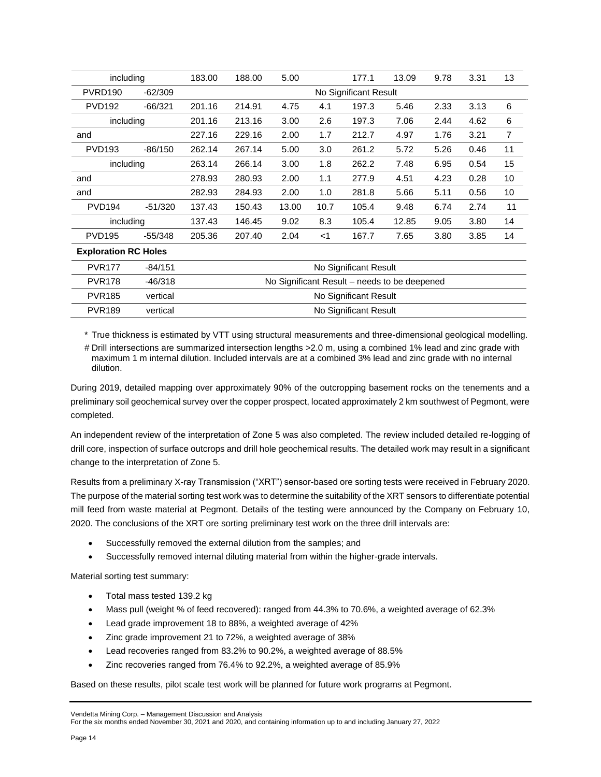| including                   |           | 183.00 | 188.00                | 5.00  |       | 177.1 | 13.09 | 9.78 | 3.31 | 13 |
|-----------------------------|-----------|--------|-----------------------|-------|-------|-------|-------|------|------|----|
| PVRD <sub>190</sub>         | $-62/309$ |        | No Significant Result |       |       |       |       |      |      |    |
| <b>PVD192</b>               | $-66/321$ | 201.16 | 214.91                | 4.75  | 4.1   | 197.3 | 5.46  | 2.33 | 3.13 | 6  |
| including                   |           | 201.16 | 213.16                | 3.00  | 2.6   | 197.3 | 7.06  | 2.44 | 4.62 | 6  |
| and                         |           | 227.16 | 229.16                | 2.00  | 1.7   | 212.7 | 4.97  | 1.76 | 3.21 | 7  |
| <b>PVD193</b>               | -86/150   | 262.14 | 267.14                | 5.00  | 3.0   | 261.2 | 5.72  | 5.26 | 0.46 | 11 |
| including                   |           | 263.14 | 266.14                | 3.00  | 1.8   | 262.2 | 7.48  | 6.95 | 0.54 | 15 |
| and                         |           | 278.93 | 280.93                | 2.00  | 1.1   | 277.9 | 4.51  | 4.23 | 0.28 | 10 |
| and                         |           | 282.93 | 284.93                | 2.00  | 1.0   | 281.8 | 5.66  | 5.11 | 0.56 | 10 |
| <b>PVD194</b>               | $-51/320$ | 137.43 | 150.43                | 13.00 | 10.7  | 105.4 | 9.48  | 6.74 | 2.74 | 11 |
| including                   |           | 137.43 | 146.45                | 9.02  | 8.3   | 105.4 | 12.85 | 9.05 | 3.80 | 14 |
| <b>PVD195</b>               | $-55/348$ | 205.36 | 207.40                | 2.04  | $<$ 1 | 167.7 | 7.65  | 3.80 | 3.85 | 14 |
| <b>Exploration RC Holes</b> |           |        |                       |       |       |       |       |      |      |    |

| <b>PVR177</b> | $-84/151$ | No Significant Result                        |
|---------------|-----------|----------------------------------------------|
| <b>PVR178</b> | $-46/318$ | No Significant Result – needs to be deepened |
| <b>PVR185</b> | vertical  | No Significant Result                        |
| <b>PVR189</b> | vertical  | No Significant Result                        |

\* True thickness is estimated by VTT using structural measurements and three-dimensional geological modelling.

# Drill intersections are summarized intersection lengths >2.0 m, using a combined 1% lead and zinc grade with maximum 1 m internal dilution. Included intervals are at a combined 3% lead and zinc grade with no internal dilution.

During 2019, detailed mapping over approximately 90% of the outcropping basement rocks on the tenements and a preliminary soil geochemical survey over the copper prospect, located approximately 2 km southwest of Pegmont, were completed.

An independent review of the interpretation of Zone 5 was also completed. The review included detailed re-logging of drill core, inspection of surface outcrops and drill hole geochemical results. The detailed work may result in a significant change to the interpretation of Zone 5.

Results from a preliminary X-ray Transmission ("XRT") sensor-based ore sorting tests were received in February 2020. The purpose of the material sorting test work was to determine the suitability of the XRT sensors to differentiate potential mill feed from waste material at Pegmont. Details of the testing were announced by the Company on February 10, 2020. The conclusions of the XRT ore sorting preliminary test work on the three drill intervals are:

- Successfully removed the external dilution from the samples; and
- Successfully removed internal diluting material from within the higher-grade intervals.

Material sorting test summary:

- Total mass tested 139.2 kg
- Mass pull (weight % of feed recovered): ranged from 44.3% to 70.6%, a weighted average of 62.3%
- Lead grade improvement 18 to 88%, a weighted average of 42%
- Zinc grade improvement 21 to 72%, a weighted average of 38%
- Lead recoveries ranged from 83.2% to 90.2%, a weighted average of 88.5%
- Zinc recoveries ranged from 76.4% to 92.2%, a weighted average of 85.9%

Based on these results, pilot scale test work will be planned for future work programs at Pegmont.

#### Vendetta Mining Corp. – Management Discussion and Analysis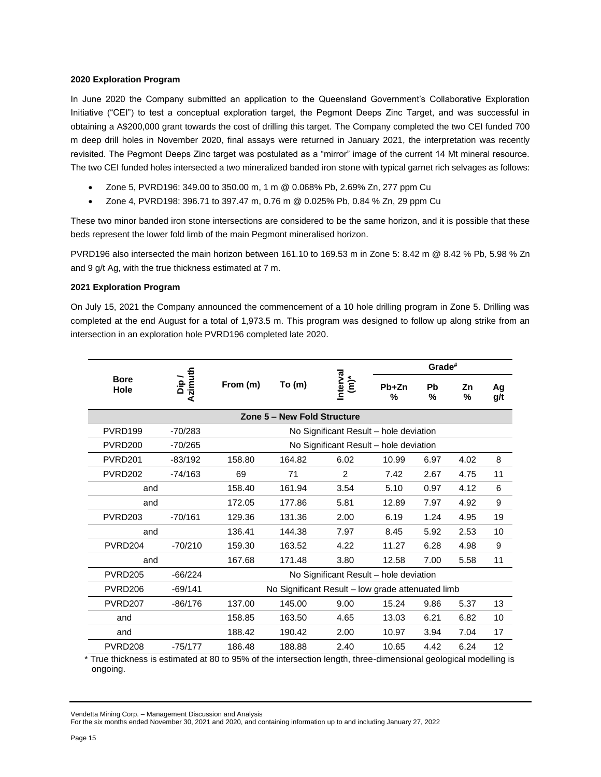### **2020 Exploration Program**

In June 2020 the Company submitted an application to the Queensland Government's Collaborative Exploration Initiative ("CEI") to test a conceptual exploration target, the Pegmont Deeps Zinc Target, and was successful in obtaining a A\$200,000 grant towards the cost of drilling this target. The Company completed the two CEI funded 700 m deep drill holes in November 2020, final assays were returned in January 2021, the interpretation was recently revisited. The Pegmont Deeps Zinc target was postulated as a "mirror" image of the current 14 Mt mineral resource. The two CEI funded holes intersected a two mineralized banded iron stone with typical garnet rich selvages as follows:

- Zone 5, PVRD196: 349.00 to 350.00 m, 1 m @ 0.068% Pb, 2.69% Zn, 277 ppm Cu
- Zone 4, PVRD198: 396.71 to 397.47 m, 0.76 m @ 0.025% Pb, 0.84 % Zn, 29 ppm Cu

These two minor banded iron stone intersections are considered to be the same horizon, and it is possible that these beds represent the lower fold limb of the main Pegmont mineralised horizon.

PVRD196 also intersected the main horizon between 161.10 to 169.53 m in Zone 5: 8.42 m @ 8.42 % Pb, 5.98 % Zn and 9 g/t Ag, with the true thickness estimated at 7 m.

### **2021 Exploration Program**

On July 15, 2021 the Company announced the commencement of a 10 hole drilling program in Zone 5. Drilling was completed at the end August for a total of 1,973.5 m. This program was designed to follow up along strike from an intersection in an exploration hole PVRD196 completed late 2020.

|                                                  |                 |                                        |                                                   |                                        |       | Grade#  |         |           |
|--------------------------------------------------|-----------------|----------------------------------------|---------------------------------------------------|----------------------------------------|-------|---------|---------|-----------|
| <b>Bore</b><br>Hole                              | Azimuth<br>Dip/ | From (m)                               | To(m)                                             | Interval<br>$\sum_{k=1}^{k}$           |       | Pb<br>% | Ζn<br>% | Aq<br>g/t |
|                                                  |                 |                                        | Zone 5 - New Fold Structure                       |                                        |       |         |         |           |
| PVRD199                                          | $-70/283$       |                                        |                                                   | No Significant Result – hole deviation |       |         |         |           |
| <b>PVRD200</b>                                   | $-70/265$       |                                        |                                                   | No Significant Result - hole deviation |       |         |         |           |
| PVRD <sub>201</sub>                              | $-83/192$       | 158.80                                 | 164.82                                            | 6.02                                   | 10.99 | 6.97    | 4.02    | 8         |
| PVRD <sub>202</sub>                              | $-74/163$       | 69                                     | 71                                                | $\mathcal{P}$                          | 7.42  | 2.67    | 4.75    | 11        |
| and                                              |                 | 158.40                                 | 161.94                                            | 3.54                                   | 5.10  | 0.97    | 4.12    | 6         |
| and                                              |                 | 172.05                                 | 177.86                                            | 5.81                                   | 12.89 | 7.97    | 4.92    | 9         |
| <b>PVRD203</b>                                   | $-70/161$       | 129.36                                 | 131.36                                            | 2.00                                   | 6.19  | 1.24    | 4.95    | 19        |
| and                                              |                 | 136.41                                 | 144.38                                            | 7.97                                   | 8.45  | 5.92    | 2.53    | 10        |
| PVRD204                                          | $-70/210$       | 159.30                                 | 163.52                                            | 4.22                                   | 11.27 | 6.28    | 4.98    | 9         |
| 167.68<br>171.48<br>3.80<br>12.58<br>7.00<br>and |                 |                                        |                                                   |                                        | 5.58  | 11      |         |           |
| <b>PVRD205</b>                                   | $-66/224$       | No Significant Result - hole deviation |                                                   |                                        |       |         |         |           |
| PVRD <sub>206</sub>                              | $-69/141$       |                                        | No Significant Result - low grade attenuated limb |                                        |       |         |         |           |
| PVRD <sub>207</sub>                              | $-86/176$       | 137.00                                 | 145.00                                            | 9.00                                   | 15.24 | 9.86    | 5.37    | 13        |
| and                                              |                 | 158.85                                 | 163.50                                            | 4.65                                   | 13.03 | 6.21    | 6.82    | 10        |
| and                                              |                 | 188.42                                 | 190.42                                            | 2.00                                   | 10.97 | 3.94    | 7.04    | 17        |
| PVRD <sub>208</sub>                              | -75/177         | 186.48                                 | 188.88                                            | 2.40                                   | 10.65 | 4.42    | 6.24    | 12        |

\* True thickness is estimated at 80 to 95% of the intersection length, three-dimensional geological modelling is ongoing.

Vendetta Mining Corp. – Management Discussion and Analysis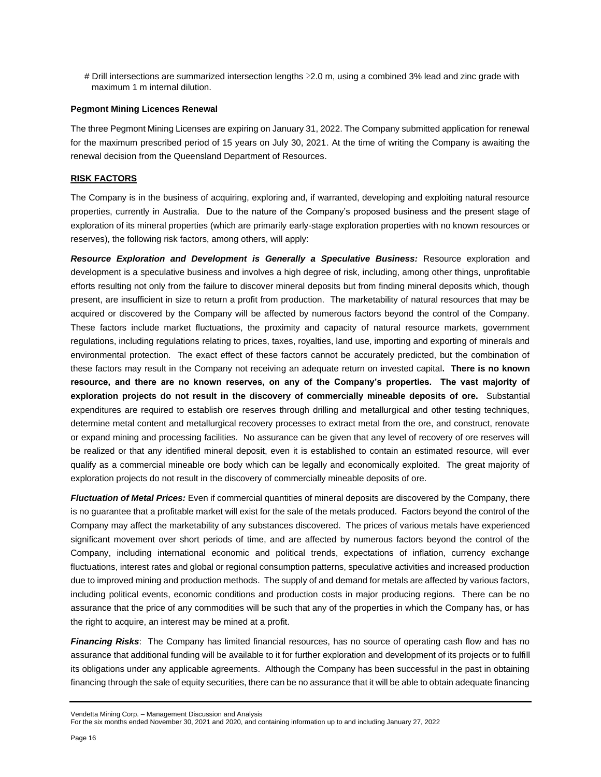# Drill intersections are summarized intersection lengths ≥2.0 m, using a combined 3% lead and zinc grade with maximum 1 m internal dilution.

#### **Pegmont Mining Licences Renewal**

The three Pegmont Mining Licenses are expiring on January 31, 2022. The Company submitted application for renewal for the maximum prescribed period of 15 years on July 30, 2021. At the time of writing the Company is awaiting the renewal decision from the Queensland Department of Resources.

### **RISK FACTORS**

The Company is in the business of acquiring, exploring and, if warranted, developing and exploiting natural resource properties, currently in Australia. Due to the nature of the Company's proposed business and the present stage of exploration of its mineral properties (which are primarily early-stage exploration properties with no known resources or reserves), the following risk factors, among others, will apply:

**Resource Exploration and Development is Generally a Speculative Business:** Resource exploration and development is a speculative business and involves a high degree of risk, including, among other things, unprofitable efforts resulting not only from the failure to discover mineral deposits but from finding mineral deposits which, though present, are insufficient in size to return a profit from production. The marketability of natural resources that may be acquired or discovered by the Company will be affected by numerous factors beyond the control of the Company. These factors include market fluctuations, the proximity and capacity of natural resource markets, government regulations, including regulations relating to prices, taxes, royalties, land use, importing and exporting of minerals and environmental protection. The exact effect of these factors cannot be accurately predicted, but the combination of these factors may result in the Company not receiving an adequate return on invested capital**. There is no known resource, and there are no known reserves, on any of the Company's properties. The vast majority of exploration projects do not result in the discovery of commercially mineable deposits of ore.** Substantial expenditures are required to establish ore reserves through drilling and metallurgical and other testing techniques, determine metal content and metallurgical recovery processes to extract metal from the ore, and construct, renovate or expand mining and processing facilities. No assurance can be given that any level of recovery of ore reserves will be realized or that any identified mineral deposit, even it is established to contain an estimated resource, will ever qualify as a commercial mineable ore body which can be legally and economically exploited. The great majority of exploration projects do not result in the discovery of commercially mineable deposits of ore.

*Fluctuation of Metal Prices:* Even if commercial quantities of mineral deposits are discovered by the Company, there is no guarantee that a profitable market will exist for the sale of the metals produced. Factors beyond the control of the Company may affect the marketability of any substances discovered. The prices of various metals have experienced significant movement over short periods of time, and are affected by numerous factors beyond the control of the Company, including international economic and political trends, expectations of inflation, currency exchange fluctuations, interest rates and global or regional consumption patterns, speculative activities and increased production due to improved mining and production methods. The supply of and demand for metals are affected by various factors, including political events, economic conditions and production costs in major producing regions. There can be no assurance that the price of any commodities will be such that any of the properties in which the Company has, or has the right to acquire, an interest may be mined at a profit.

*Financing Risks*: The Company has limited financial resources, has no source of operating cash flow and has no assurance that additional funding will be available to it for further exploration and development of its projects or to fulfill its obligations under any applicable agreements. Although the Company has been successful in the past in obtaining financing through the sale of equity securities, there can be no assurance that it will be able to obtain adequate financing

Vendetta Mining Corp. – Management Discussion and Analysis

For the six months ended November 30, 2021 and 2020, and containing information up to and including January 27, 2022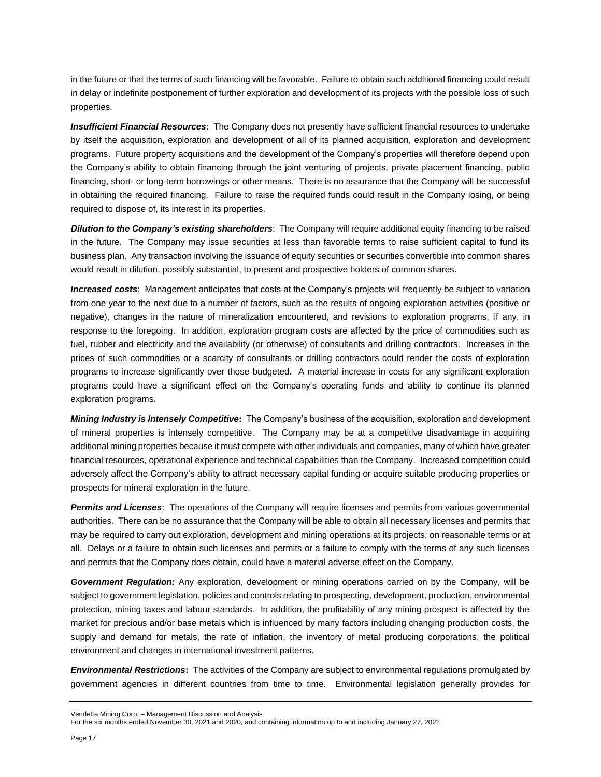in the future or that the terms of such financing will be favorable. Failure to obtain such additional financing could result in delay or indefinite postponement of further exploration and development of its projects with the possible loss of such properties.

*Insufficient Financial Resources*: The Company does not presently have sufficient financial resources to undertake by itself the acquisition, exploration and development of all of its planned acquisition, exploration and development programs. Future property acquisitions and the development of the Company's properties will therefore depend upon the Company's ability to obtain financing through the joint venturing of projects, private placement financing, public financing, short- or long-term borrowings or other means. There is no assurance that the Company will be successful in obtaining the required financing. Failure to raise the required funds could result in the Company losing, or being required to dispose of, its interest in its properties.

*Dilution to the Company's existing shareholders*: The Company will require additional equity financing to be raised in the future. The Company may issue securities at less than favorable terms to raise sufficient capital to fund its business plan. Any transaction involving the issuance of equity securities or securities convertible into common shares would result in dilution, possibly substantial, to present and prospective holders of common shares.

*Increased costs*: Management anticipates that costs at the Company's projects will frequently be subject to variation from one year to the next due to a number of factors, such as the results of ongoing exploration activities (positive or negative), changes in the nature of mineralization encountered, and revisions to exploration programs, if any, in response to the foregoing. In addition, exploration program costs are affected by the price of commodities such as fuel, rubber and electricity and the availability (or otherwise) of consultants and drilling contractors. Increases in the prices of such commodities or a scarcity of consultants or drilling contractors could render the costs of exploration programs to increase significantly over those budgeted. A material increase in costs for any significant exploration programs could have a significant effect on the Company's operating funds and ability to continue its planned exploration programs.

*Mining Industry is Intensely Competitive***:** The Company's business of the acquisition, exploration and development of mineral properties is intensely competitive. The Company may be at a competitive disadvantage in acquiring additional mining properties because it must compete with other individuals and companies, many of which have greater financial resources, operational experience and technical capabilities than the Company. Increased competition could adversely affect the Company's ability to attract necessary capital funding or acquire suitable producing properties or prospects for mineral exploration in the future.

*Permits and Licenses*: The operations of the Company will require licenses and permits from various governmental authorities. There can be no assurance that the Company will be able to obtain all necessary licenses and permits that may be required to carry out exploration, development and mining operations at its projects, on reasonable terms or at all. Delays or a failure to obtain such licenses and permits or a failure to comply with the terms of any such licenses and permits that the Company does obtain, could have a material adverse effect on the Company.

*Government Regulation:* Any exploration, development or mining operations carried on by the Company, will be subject to government legislation, policies and controls relating to prospecting, development, production, environmental protection, mining taxes and labour standards. In addition, the profitability of any mining prospect is affected by the market for precious and/or base metals which is influenced by many factors including changing production costs, the supply and demand for metals, the rate of inflation, the inventory of metal producing corporations, the political environment and changes in international investment patterns.

*Environmental Restrictions***:** The activities of the Company are subject to environmental regulations promulgated by government agencies in different countries from time to time. Environmental legislation generally provides for

Vendetta Mining Corp. – Management Discussion and Analysis

For the six months ended November 30, 2021 and 2020, and containing information up to and including January 27, 2022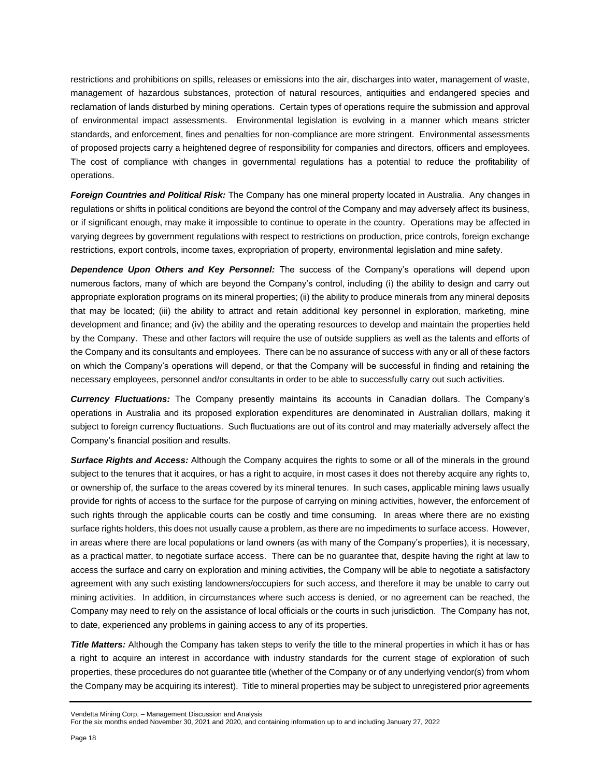restrictions and prohibitions on spills, releases or emissions into the air, discharges into water, management of waste, management of hazardous substances, protection of natural resources, antiquities and endangered species and reclamation of lands disturbed by mining operations. Certain types of operations require the submission and approval of environmental impact assessments. Environmental legislation is evolving in a manner which means stricter standards, and enforcement, fines and penalties for non-compliance are more stringent. Environmental assessments of proposed projects carry a heightened degree of responsibility for companies and directors, officers and employees. The cost of compliance with changes in governmental regulations has a potential to reduce the profitability of operations.

*Foreign Countries and Political Risk:* The Company has one mineral property located in Australia. Any changes in regulations or shifts in political conditions are beyond the control of the Company and may adversely affect its business, or if significant enough, may make it impossible to continue to operate in the country. Operations may be affected in varying degrees by government regulations with respect to restrictions on production, price controls, foreign exchange restrictions, export controls, income taxes, expropriation of property, environmental legislation and mine safety.

*Dependence Upon Others and Key Personnel:* The success of the Company's operations will depend upon numerous factors, many of which are beyond the Company's control, including (i) the ability to design and carry out appropriate exploration programs on its mineral properties; (ii) the ability to produce minerals from any mineral deposits that may be located; (iii) the ability to attract and retain additional key personnel in exploration, marketing, mine development and finance; and (iv) the ability and the operating resources to develop and maintain the properties held by the Company. These and other factors will require the use of outside suppliers as well as the talents and efforts of the Company and its consultants and employees. There can be no assurance of success with any or all of these factors on which the Company's operations will depend, or that the Company will be successful in finding and retaining the necessary employees, personnel and/or consultants in order to be able to successfully carry out such activities.

*Currency Fluctuations:* The Company presently maintains its accounts in Canadian dollars. The Company's operations in Australia and its proposed exploration expenditures are denominated in Australian dollars, making it subject to foreign currency fluctuations. Such fluctuations are out of its control and may materially adversely affect the Company's financial position and results.

*Surface Rights and Access:* Although the Company acquires the rights to some or all of the minerals in the ground subject to the tenures that it acquires, or has a right to acquire, in most cases it does not thereby acquire any rights to, or ownership of, the surface to the areas covered by its mineral tenures. In such cases, applicable mining laws usually provide for rights of access to the surface for the purpose of carrying on mining activities, however, the enforcement of such rights through the applicable courts can be costly and time consuming. In areas where there are no existing surface rights holders, this does not usually cause a problem, as there are no impediments to surface access. However, in areas where there are local populations or land owners (as with many of the Company's properties), it is necessary, as a practical matter, to negotiate surface access. There can be no guarantee that, despite having the right at law to access the surface and carry on exploration and mining activities, the Company will be able to negotiate a satisfactory agreement with any such existing landowners/occupiers for such access, and therefore it may be unable to carry out mining activities. In addition, in circumstances where such access is denied, or no agreement can be reached, the Company may need to rely on the assistance of local officials or the courts in such jurisdiction. The Company has not, to date, experienced any problems in gaining access to any of its properties.

*Title Matters:* Although the Company has taken steps to verify the title to the mineral properties in which it has or has a right to acquire an interest in accordance with industry standards for the current stage of exploration of such properties, these procedures do not guarantee title (whether of the Company or of any underlying vendor(s) from whom the Company may be acquiring its interest). Title to mineral properties may be subject to unregistered prior agreements

Vendetta Mining Corp. – Management Discussion and Analysis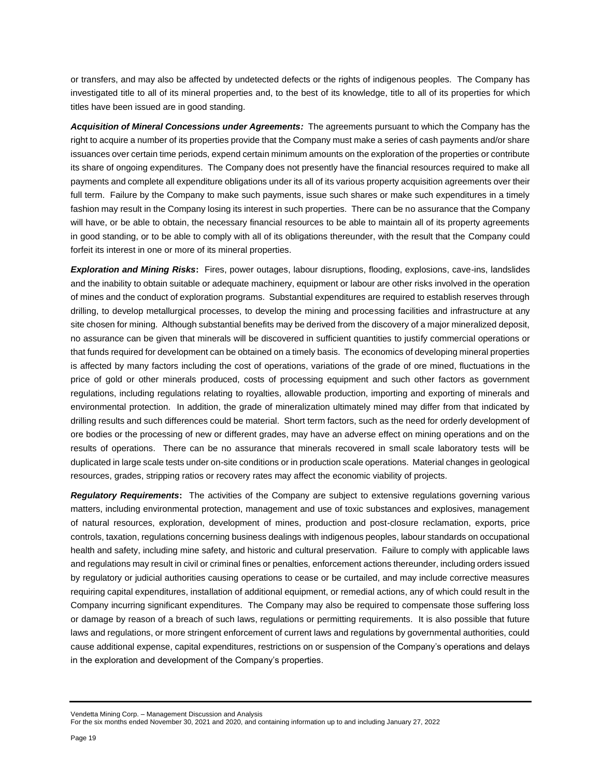or transfers, and may also be affected by undetected defects or the rights of indigenous peoples. The Company has investigated title to all of its mineral properties and, to the best of its knowledge, title to all of its properties for which titles have been issued are in good standing.

*Acquisition of Mineral Concessions under Agreements:* The agreements pursuant to which the Company has the right to acquire a number of its properties provide that the Company must make a series of cash payments and/or share issuances over certain time periods, expend certain minimum amounts on the exploration of the properties or contribute its share of ongoing expenditures. The Company does not presently have the financial resources required to make all payments and complete all expenditure obligations under its all of its various property acquisition agreements over their full term. Failure by the Company to make such payments, issue such shares or make such expenditures in a timely fashion may result in the Company losing its interest in such properties. There can be no assurance that the Company will have, or be able to obtain, the necessary financial resources to be able to maintain all of its property agreements in good standing, or to be able to comply with all of its obligations thereunder, with the result that the Company could forfeit its interest in one or more of its mineral properties.

*Exploration and Mining Risks***:** Fires, power outages, labour disruptions, flooding, explosions, cave-ins, landslides and the inability to obtain suitable or adequate machinery, equipment or labour are other risks involved in the operation of mines and the conduct of exploration programs. Substantial expenditures are required to establish reserves through drilling, to develop metallurgical processes, to develop the mining and processing facilities and infrastructure at any site chosen for mining. Although substantial benefits may be derived from the discovery of a major mineralized deposit, no assurance can be given that minerals will be discovered in sufficient quantities to justify commercial operations or that funds required for development can be obtained on a timely basis. The economics of developing mineral properties is affected by many factors including the cost of operations, variations of the grade of ore mined, fluctuations in the price of gold or other minerals produced, costs of processing equipment and such other factors as government regulations, including regulations relating to royalties, allowable production, importing and exporting of minerals and environmental protection. In addition, the grade of mineralization ultimately mined may differ from that indicated by drilling results and such differences could be material. Short term factors, such as the need for orderly development of ore bodies or the processing of new or different grades, may have an adverse effect on mining operations and on the results of operations. There can be no assurance that minerals recovered in small scale laboratory tests will be duplicated in large scale tests under on-site conditions or in production scale operations. Material changes in geological resources, grades, stripping ratios or recovery rates may affect the economic viability of projects.

*Regulatory Requirements***:** The activities of the Company are subject to extensive regulations governing various matters, including environmental protection, management and use of toxic substances and explosives, management of natural resources, exploration, development of mines, production and post-closure reclamation, exports, price controls, taxation, regulations concerning business dealings with indigenous peoples, labour standards on occupational health and safety, including mine safety, and historic and cultural preservation. Failure to comply with applicable laws and regulations may result in civil or criminal fines or penalties, enforcement actions thereunder, including orders issued by regulatory or judicial authorities causing operations to cease or be curtailed, and may include corrective measures requiring capital expenditures, installation of additional equipment, or remedial actions, any of which could result in the Company incurring significant expenditures. The Company may also be required to compensate those suffering loss or damage by reason of a breach of such laws, regulations or permitting requirements. It is also possible that future laws and regulations, or more stringent enforcement of current laws and regulations by governmental authorities, could cause additional expense, capital expenditures, restrictions on or suspension of the Company's operations and delays in the exploration and development of the Company's properties.

Vendetta Mining Corp. – Management Discussion and Analysis

For the six months ended November 30, 2021 and 2020, and containing information up to and including January 27, 2022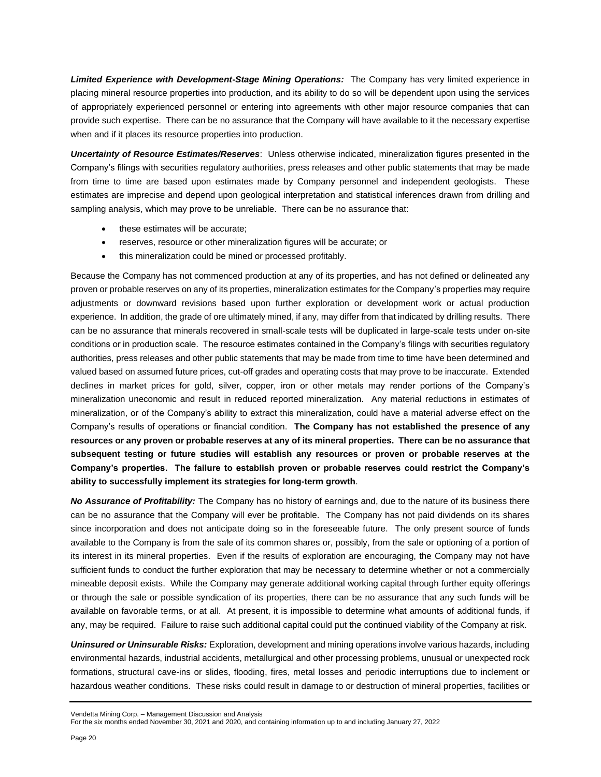*Limited Experience with Development-Stage Mining Operations:* The Company has very limited experience in placing mineral resource properties into production, and its ability to do so will be dependent upon using the services of appropriately experienced personnel or entering into agreements with other major resource companies that can provide such expertise. There can be no assurance that the Company will have available to it the necessary expertise when and if it places its resource properties into production.

*Uncertainty of Resource Estimates/Reserves*: Unless otherwise indicated, mineralization figures presented in the Company's filings with securities regulatory authorities, press releases and other public statements that may be made from time to time are based upon estimates made by Company personnel and independent geologists. These estimates are imprecise and depend upon geological interpretation and statistical inferences drawn from drilling and sampling analysis, which may prove to be unreliable. There can be no assurance that:

- these estimates will be accurate;
- reserves, resource or other mineralization figures will be accurate; or
- this mineralization could be mined or processed profitably.

Because the Company has not commenced production at any of its properties, and has not defined or delineated any proven or probable reserves on any of its properties, mineralization estimates for the Company's properties may require adjustments or downward revisions based upon further exploration or development work or actual production experience. In addition, the grade of ore ultimately mined, if any, may differ from that indicated by drilling results. There can be no assurance that minerals recovered in small-scale tests will be duplicated in large-scale tests under on-site conditions or in production scale. The resource estimates contained in the Company's filings with securities regulatory authorities, press releases and other public statements that may be made from time to time have been determined and valued based on assumed future prices, cut-off grades and operating costs that may prove to be inaccurate. Extended declines in market prices for gold, silver, copper, iron or other metals may render portions of the Company's mineralization uneconomic and result in reduced reported mineralization. Any material reductions in estimates of mineralization, or of the Company's ability to extract this mineralization, could have a material adverse effect on the Company's results of operations or financial condition. **The Company has not established the presence of any resources or any proven or probable reserves at any of its mineral properties. There can be no assurance that subsequent testing or future studies will establish any resources or proven or probable reserves at the Company's properties. The failure to establish proven or probable reserves could restrict the Company's ability to successfully implement its strategies for long-term growth**.

*No Assurance of Profitability:* The Company has no history of earnings and, due to the nature of its business there can be no assurance that the Company will ever be profitable. The Company has not paid dividends on its shares since incorporation and does not anticipate doing so in the foreseeable future. The only present source of funds available to the Company is from the sale of its common shares or, possibly, from the sale or optioning of a portion of its interest in its mineral properties. Even if the results of exploration are encouraging, the Company may not have sufficient funds to conduct the further exploration that may be necessary to determine whether or not a commercially mineable deposit exists. While the Company may generate additional working capital through further equity offerings or through the sale or possible syndication of its properties, there can be no assurance that any such funds will be available on favorable terms, or at all. At present, it is impossible to determine what amounts of additional funds, if any, may be required. Failure to raise such additional capital could put the continued viability of the Company at risk.

*Uninsured or Uninsurable Risks:* Exploration, development and mining operations involve various hazards, including environmental hazards, industrial accidents, metallurgical and other processing problems, unusual or unexpected rock formations, structural cave-ins or slides, flooding, fires, metal losses and periodic interruptions due to inclement or hazardous weather conditions. These risks could result in damage to or destruction of mineral properties, facilities or

Vendetta Mining Corp. – Management Discussion and Analysis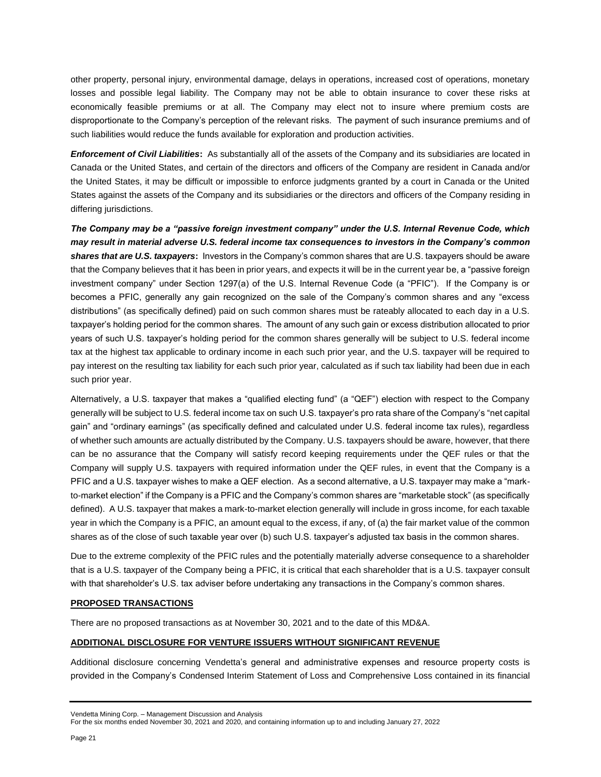other property, personal injury, environmental damage, delays in operations, increased cost of operations, monetary losses and possible legal liability. The Company may not be able to obtain insurance to cover these risks at economically feasible premiums or at all. The Company may elect not to insure where premium costs are disproportionate to the Company's perception of the relevant risks. The payment of such insurance premiums and of such liabilities would reduce the funds available for exploration and production activities.

*Enforcement of Civil Liabilities***:** As substantially all of the assets of the Company and its subsidiaries are located in Canada or the United States, and certain of the directors and officers of the Company are resident in Canada and/or the United States, it may be difficult or impossible to enforce judgments granted by a court in Canada or the United States against the assets of the Company and its subsidiaries or the directors and officers of the Company residing in differing jurisdictions.

*The Company may be a "passive foreign investment company" under the U.S. Internal Revenue Code, which may result in material adverse U.S. federal income tax consequences to investors in the Company's common shares that are U.S. taxpayers***:** Investors in the Company's common shares that are U.S. taxpayers should be aware that the Company believes that it has been in prior years, and expects it will be in the current year be, a "passive foreign investment company" under Section 1297(a) of the U.S. Internal Revenue Code (a "PFIC"). If the Company is or becomes a PFIC, generally any gain recognized on the sale of the Company's common shares and any "excess distributions" (as specifically defined) paid on such common shares must be rateably allocated to each day in a U.S. taxpayer's holding period for the common shares. The amount of any such gain or excess distribution allocated to prior years of such U.S. taxpayer's holding period for the common shares generally will be subject to U.S. federal income tax at the highest tax applicable to ordinary income in each such prior year, and the U.S. taxpayer will be required to pay interest on the resulting tax liability for each such prior year, calculated as if such tax liability had been due in each such prior year.

Alternatively, a U.S. taxpayer that makes a "qualified electing fund" (a "QEF") election with respect to the Company generally will be subject to U.S. federal income tax on such U.S. taxpayer's pro rata share of the Company's "net capital gain" and "ordinary earnings" (as specifically defined and calculated under U.S. federal income tax rules), regardless of whether such amounts are actually distributed by the Company. U.S. taxpayers should be aware, however, that there can be no assurance that the Company will satisfy record keeping requirements under the QEF rules or that the Company will supply U.S. taxpayers with required information under the QEF rules, in event that the Company is a PFIC and a U.S. taxpayer wishes to make a QEF election. As a second alternative, a U.S. taxpayer may make a "markto-market election" if the Company is a PFIC and the Company's common shares are "marketable stock" (as specifically defined). A U.S. taxpayer that makes a mark-to-market election generally will include in gross income, for each taxable year in which the Company is a PFIC, an amount equal to the excess, if any, of (a) the fair market value of the common shares as of the close of such taxable year over (b) such U.S. taxpayer's adjusted tax basis in the common shares.

Due to the extreme complexity of the PFIC rules and the potentially materially adverse consequence to a shareholder that is a U.S. taxpayer of the Company being a PFIC, it is critical that each shareholder that is a U.S. taxpayer consult with that shareholder's U.S. tax adviser before undertaking any transactions in the Company's common shares.

### **PROPOSED TRANSACTIONS**

There are no proposed transactions as at November 30, 2021 and to the date of this MD&A.

## **ADDITIONAL DISCLOSURE FOR VENTURE ISSUERS WITHOUT SIGNIFICANT REVENUE**

Additional disclosure concerning Vendetta's general and administrative expenses and resource property costs is provided in the Company's Condensed Interim Statement of Loss and Comprehensive Loss contained in its financial

Vendetta Mining Corp. – Management Discussion and Analysis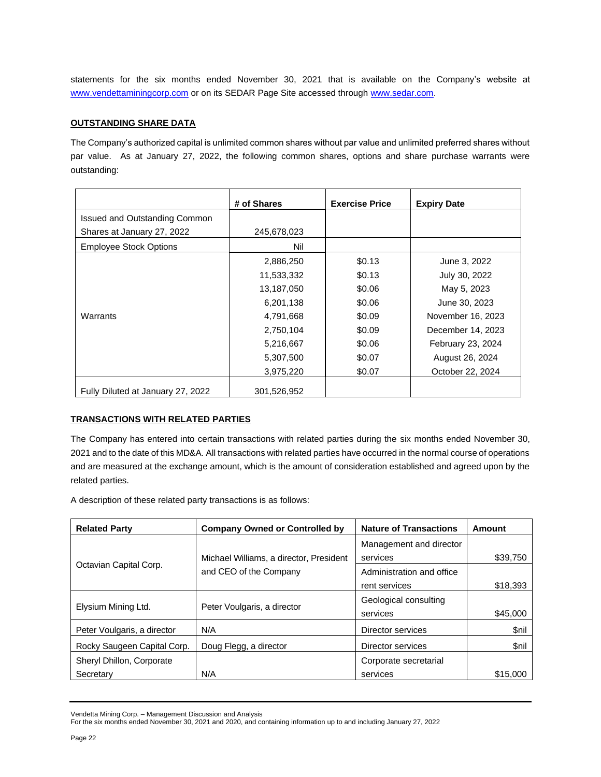statements for the six months ended November 30, 2021 that is available on the Company's website at [www.vendettaminingcorp.com](http://www.vendettaminingcorp.com/) or on its SEDAR Page Site accessed throug[h www.sedar.com.](http://www.sedar.com/)

### **OUTSTANDING SHARE DATA**

The Company's authorized capital is unlimited common shares without par value and unlimited preferred shares without par value. As at January 27, 2022, the following common shares, options and share purchase warrants were outstanding:

|                                   | # of Shares | <b>Exercise Price</b> | <b>Expiry Date</b> |
|-----------------------------------|-------------|-----------------------|--------------------|
| Issued and Outstanding Common     |             |                       |                    |
| Shares at January 27, 2022        | 245,678,023 |                       |                    |
| <b>Employee Stock Options</b>     | Nil         |                       |                    |
|                                   | 2,886,250   | \$0.13                | June 3, 2022       |
|                                   | 11,533,332  | \$0.13                | July 30, 2022      |
|                                   | 13,187,050  | \$0.06                | May 5, 2023        |
|                                   | 6,201,138   | \$0.06                | June 30, 2023      |
| Warrants                          | 4,791,668   | \$0.09                | November 16, 2023  |
|                                   | 2,750,104   | \$0.09                | December 14, 2023  |
|                                   | 5,216,667   | \$0.06                | February 23, 2024  |
|                                   | 5,307,500   | \$0.07                | August 26, 2024    |
|                                   | 3,975,220   | \$0.07                | October 22, 2024   |
| Fully Diluted at January 27, 2022 | 301,526,952 |                       |                    |

### **TRANSACTIONS WITH RELATED PARTIES**

The Company has entered into certain transactions with related parties during the six months ended November 30, 2021 and to the date of this MD&A. All transactions with related parties have occurred in the normal course of operations and are measured at the exchange amount, which is the amount of consideration established and agreed upon by the related parties.

A description of these related party transactions is as follows:

| <b>Related Party</b>        | <b>Company Owned or Controlled by</b>   | <b>Nature of Transactions</b> | Amount   |
|-----------------------------|-----------------------------------------|-------------------------------|----------|
|                             |                                         | Management and director       |          |
|                             | Michael Williams, a director, President | services                      | \$39,750 |
| Octavian Capital Corp.      | and CEO of the Company                  | Administration and office     |          |
|                             |                                         | rent services                 | \$18,393 |
|                             |                                         | Geological consulting         |          |
| Elysium Mining Ltd.         | Peter Voulgaris, a director             | services                      | \$45,000 |
| Peter Voulgaris, a director | N/A                                     | Director services             | \$nil    |
| Rocky Saugeen Capital Corp. | Doug Flegg, a director                  | Director services             | \$nil    |
| Sheryl Dhillon, Corporate   |                                         | Corporate secretarial         |          |
| Secretary                   | N/A                                     | services                      | \$15,000 |

Vendetta Mining Corp. – Management Discussion and Analysis

For the six months ended November 30, 2021 and 2020, and containing information up to and including January 27, 2022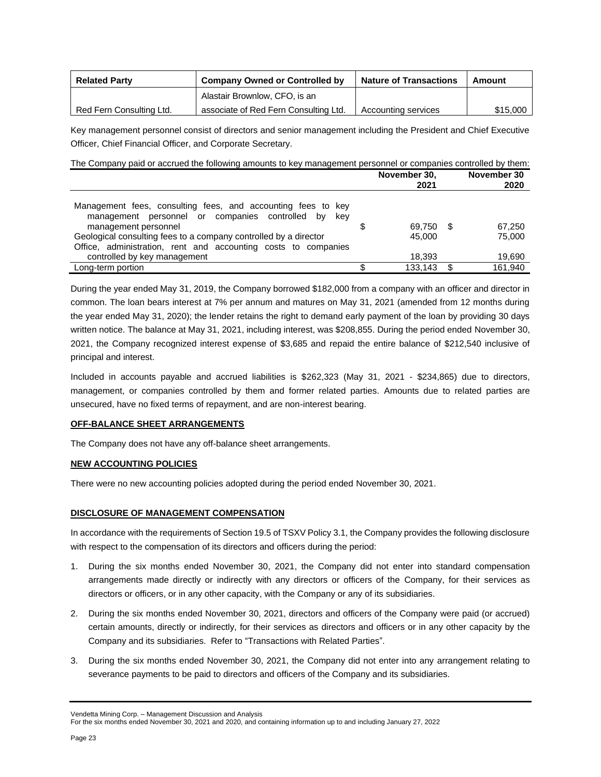| <b>Related Party</b>     | <b>Company Owned or Controlled by</b> | <b>Nature of Transactions</b> | Amount   |  |
|--------------------------|---------------------------------------|-------------------------------|----------|--|
|                          | Alastair Brownlow, CFO, is an         |                               |          |  |
| Red Fern Consulting Ltd. | associate of Red Fern Consulting Ltd. | Accounting services           | \$15,000 |  |

Key management personnel consist of directors and senior management including the President and Chief Executive Officer, Chief Financial Officer, and Corporate Secretary.

| The Company paid or accrued the following amounts to key management personnel or companies controlled by them:                                                                                                          |                      |                          |
|-------------------------------------------------------------------------------------------------------------------------------------------------------------------------------------------------------------------------|----------------------|--------------------------|
|                                                                                                                                                                                                                         | November 30,<br>2021 | November 30<br>2020      |
| Management fees, consulting fees, and accounting fees to key<br>management personnel or companies controlled<br>– bv<br>kev<br>management personnel<br>Geological consulting fees to a company controlled by a director | 69.750<br>45,000     | - \$<br>67.250<br>75,000 |

Office, administration, rent and accounting costs to companies controlled by key management and the controlled by key management and the controlled by key management and the controlled by key management and the controlled by key management and the controlled by key management and the Long-term portion 6 133,143 \$ 161,940 During the year ended May 31, 2019, the Company borrowed \$182,000 from a company with an officer and director in

common. The loan bears interest at 7% per annum and matures on May 31, 2021 (amended from 12 months during the year ended May 31, 2020); the lender retains the right to demand early payment of the loan by providing 30 days written notice. The balance at May 31, 2021, including interest, was \$208,855. During the period ended November 30, 2021, the Company recognized interest expense of \$3,685 and repaid the entire balance of \$212,540 inclusive of principal and interest.

Included in accounts payable and accrued liabilities is \$262,323 (May 31, 2021 - \$234,865) due to directors, management, or companies controlled by them and former related parties. Amounts due to related parties are unsecured, have no fixed terms of repayment, and are non-interest bearing.

## **OFF-BALANCE SHEET ARRANGEMENTS**

The Company does not have any off-balance sheet arrangements.

## **NEW ACCOUNTING POLICIES**

There were no new accounting policies adopted during the period ended November 30, 2021.

## **DISCLOSURE OF MANAGEMENT COMPENSATION**

In accordance with the requirements of Section 19.5 of TSXV Policy 3.1, the Company provides the following disclosure with respect to the compensation of its directors and officers during the period:

- 1. During the six months ended November 30, 2021, the Company did not enter into standard compensation arrangements made directly or indirectly with any directors or officers of the Company, for their services as directors or officers, or in any other capacity, with the Company or any of its subsidiaries.
- 2. During the six months ended November 30, 2021, directors and officers of the Company were paid (or accrued) certain amounts, directly or indirectly, for their services as directors and officers or in any other capacity by the Company and its subsidiaries. Refer to "Transactions with Related Parties".
- 3. During the six months ended November 30, 2021, the Company did not enter into any arrangement relating to severance payments to be paid to directors and officers of the Company and its subsidiaries.

Vendetta Mining Corp. – Management Discussion and Analysis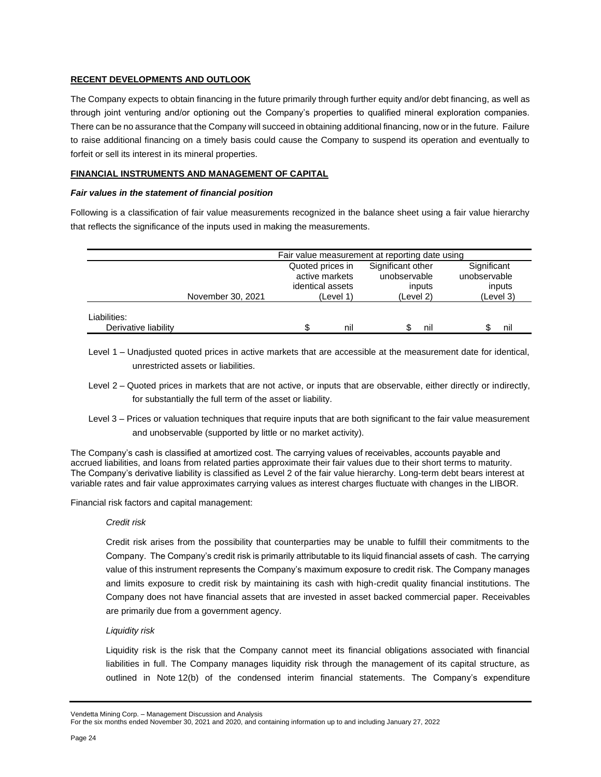### **RECENT DEVELOPMENTS AND OUTLOOK**

The Company expects to obtain financing in the future primarily through further equity and/or debt financing, as well as through joint venturing and/or optioning out the Company's properties to qualified mineral exploration companies. There can be no assurance that the Company will succeed in obtaining additional financing, now or in the future. Failure to raise additional financing on a timely basis could cause the Company to suspend its operation and eventually to forfeit or sell its interest in its mineral properties.

### **FINANCIAL INSTRUMENTS AND MANAGEMENT OF CAPITAL**

#### *Fair values in the statement of financial position*

Following is a classification of fair value measurements recognized in the balance sheet using a fair value hierarchy that reflects the significance of the inputs used in making the measurements.

|                                      | Fair value measurement at reporting date using |                                                        |     |                                             |     |                                       |     |
|--------------------------------------|------------------------------------------------|--------------------------------------------------------|-----|---------------------------------------------|-----|---------------------------------------|-----|
|                                      |                                                | Quoted prices in<br>active markets<br>identical assets |     | Significant other<br>unobservable<br>inputs |     | Significant<br>unobservable<br>inputs |     |
|                                      | November 30, 2021                              | (Level 1)                                              |     | (Level 2)                                   |     | (Level 3)                             |     |
| Liabilities:<br>Derivative liability |                                                |                                                        | nil |                                             | nil |                                       | nıl |

- Level 1 Unadjusted quoted prices in active markets that are accessible at the measurement date for identical, unrestricted assets or liabilities.
- Level 2 Quoted prices in markets that are not active, or inputs that are observable, either directly or indirectly, for substantially the full term of the asset or liability.
- Level 3 Prices or valuation techniques that require inputs that are both significant to the fair value measurement and unobservable (supported by little or no market activity).

The Company's cash is classified at amortized cost. The carrying values of receivables, accounts payable and accrued liabilities, and loans from related parties approximate their fair values due to their short terms to maturity. The Company's derivative liability is classified as Level 2 of the fair value hierarchy. Long-term debt bears interest at variable rates and fair value approximates carrying values as interest charges fluctuate with changes in the LIBOR.

Financial risk factors and capital management:

### *Credit risk*

Credit risk arises from the possibility that counterparties may be unable to fulfill their commitments to the Company. The Company's credit risk is primarily attributable to its liquid financial assets of cash. The carrying value of this instrument represents the Company's maximum exposure to credit risk. The Company manages and limits exposure to credit risk by maintaining its cash with high-credit quality financial institutions. The Company does not have financial assets that are invested in asset backed commercial paper. Receivables are primarily due from a government agency.

### *Liquidity risk*

Liquidity risk is the risk that the Company cannot meet its financial obligations associated with financial liabilities in full. The Company manages liquidity risk through the management of its capital structure, as outlined in Note 12(b) of the condensed interim financial statements. The Company's expenditure

Vendetta Mining Corp. – Management Discussion and Analysis

For the six months ended November 30, 2021 and 2020, and containing information up to and including January 27, 2022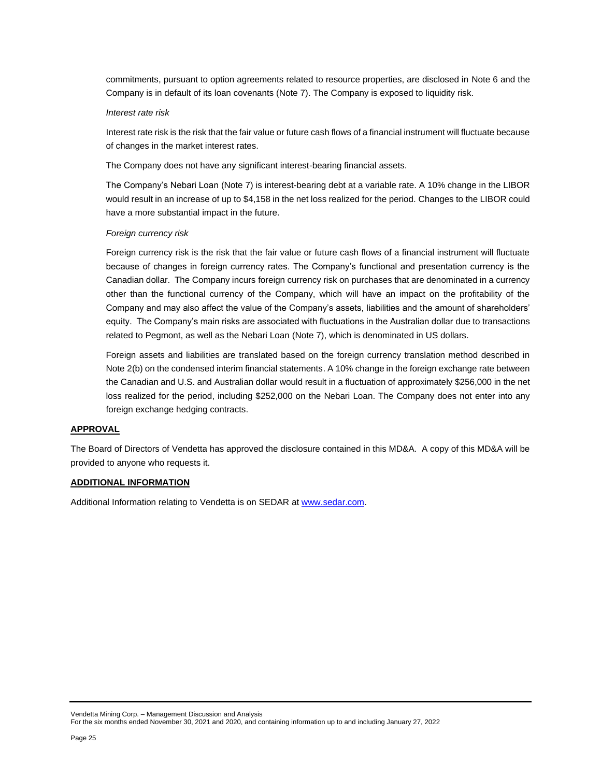commitments, pursuant to option agreements related to resource properties, are disclosed in Note 6 and the Company is in default of its loan covenants (Note 7). The Company is exposed to liquidity risk.

#### *Interest rate risk*

Interest rate risk is the risk that the fair value or future cash flows of a financial instrument will fluctuate because of changes in the market interest rates.

The Company does not have any significant interest-bearing financial assets.

The Company's Nebari Loan (Note 7) is interest-bearing debt at a variable rate. A 10% change in the LIBOR would result in an increase of up to \$4,158 in the net loss realized for the period. Changes to the LIBOR could have a more substantial impact in the future.

#### *Foreign currency risk*

Foreign currency risk is the risk that the fair value or future cash flows of a financial instrument will fluctuate because of changes in foreign currency rates. The Company's functional and presentation currency is the Canadian dollar. The Company incurs foreign currency risk on purchases that are denominated in a currency other than the functional currency of the Company, which will have an impact on the profitability of the Company and may also affect the value of the Company's assets, liabilities and the amount of shareholders' equity. The Company's main risks are associated with fluctuations in the Australian dollar due to transactions related to Pegmont, as well as the Nebari Loan (Note 7), which is denominated in US dollars.

Foreign assets and liabilities are translated based on the foreign currency translation method described in Note 2(b) on the condensed interim financial statements. A 10% change in the foreign exchange rate between the Canadian and U.S. and Australian dollar would result in a fluctuation of approximately \$256,000 in the net loss realized for the period, including \$252,000 on the Nebari Loan. The Company does not enter into any foreign exchange hedging contracts.

### **APPROVAL**

The Board of Directors of Vendetta has approved the disclosure contained in this MD&A. A copy of this MD&A will be provided to anyone who requests it.

### **ADDITIONAL INFORMATION**

Additional Information relating to Vendetta is on SEDAR at [www.sedar.com.](http://www.sedar.com/)

Vendetta Mining Corp. – Management Discussion and Analysis For the six months ended November 30, 2021 and 2020, and containing information up to and including January 27, 2022